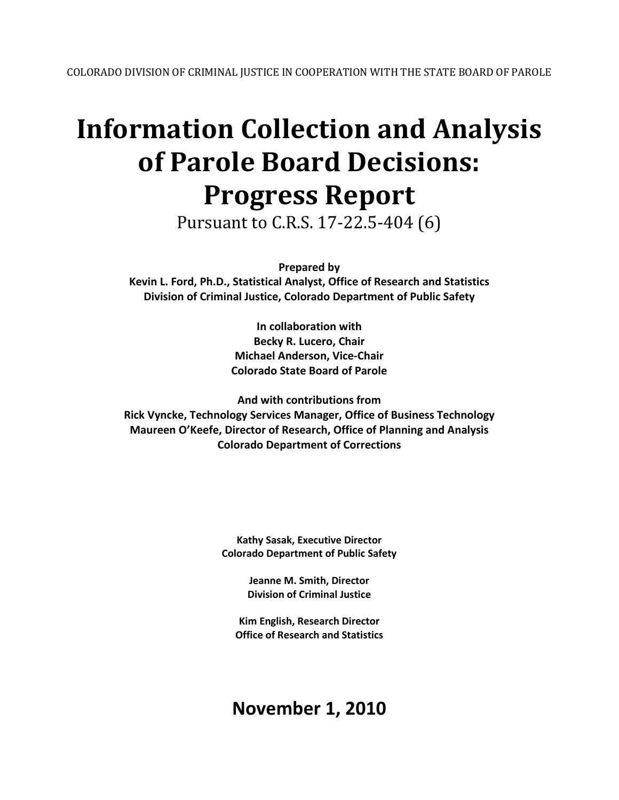# **Information Collection and Analysis of Parole Board Decisions: Progress Report**

Pursuant to C.R.S. 17-22.5-404 (6)

**Prepared by** 

**Kevin L. Ford, Ph.D., Statistical Analyst, Office of Research and Statistics Division of Criminal Justice, Colorado Department of Public Safety**

> **In collaboration with Becky R. Lucero, Chair Michael Anderson, Vice-Chair Colorado State Board of Parole**

**And with contributions from Rick Vyncke, Technology Services Manager, Office of Business Technology Maureen O'Keefe, Director of Research, Office of Planning and Analysis Colorado Department of Corrections**

> **Kathy Sasak, Executive Director Colorado Department of Public Safety**

> > **Jeanne M. Smith, Director Division of Criminal Justice**

**Kim English, Research Director Office of Research and Statistics**

**November 1, 2010**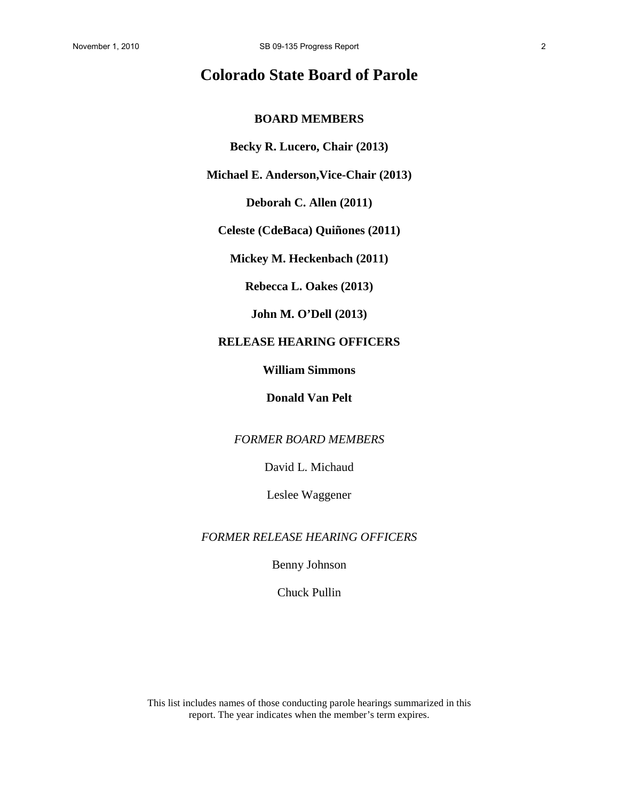# **Colorado State Board of Parole**

### **BOARD MEMBERS**

**Becky R. Lucero, Chair (2013)** 

**Michael E. Anderson,Vice-Chair (2013)** 

**Deborah C. Allen (2011)** 

**Celeste (CdeBaca) Quiñones (2011)** 

**Mickey M. Heckenbach (2011)** 

**Rebecca L. Oakes (2013)** 

**John M. O'Dell (2013)** 

## **RELEASE HEARING OFFICERS**

**William Simmons**

**Donald Van Pelt** 

*FORMER BOARD MEMBERS*

David L. Michaud

Leslee Waggener

*FORMER RELEASE HEARING OFFICERS*

Benny Johnson

Chuck Pullin

This list includes names of those conducting parole hearings summarized in this report. The year indicates when the member's term expires.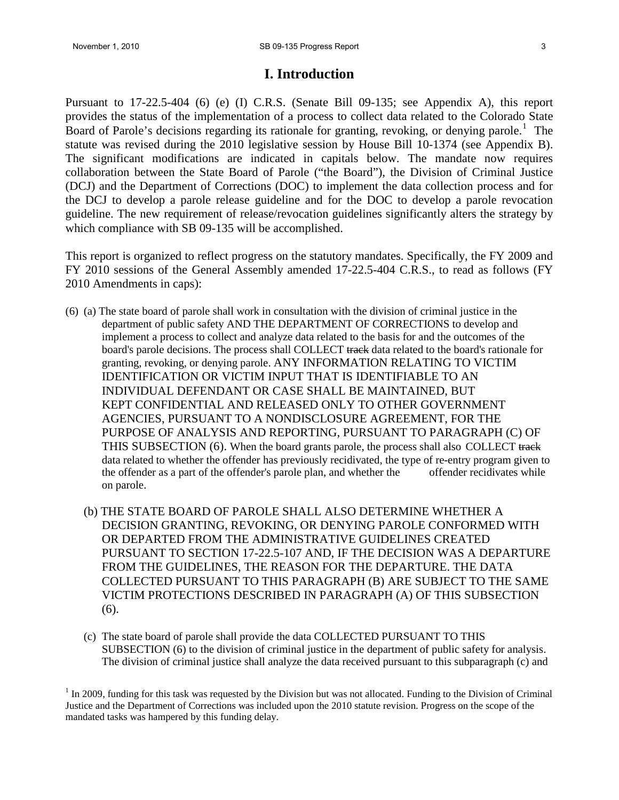## **I. Introduction**

Pursuant to 17-22.5-404 (6) (e) (I) C.R.S. (Senate Bill 09-135; see Appendix A), this report provides the status of the implementation of a process to collect data related to the Colorado State Board of Parole's decisions regarding its rationale for granting, revoking, or denying parole.<sup>[1](#page-2-0)</sup> The statute was revised during the 2010 legislative session by House Bill 10-1374 (see Appendix B). The significant modifications are indicated in capitals below. The mandate now requires collaboration between the State Board of Parole ("the Board"), the Division of Criminal Justice (DCJ) and the Department of Corrections (DOC) to implement the data collection process and for the DCJ to develop a parole release guideline and for the DOC to develop a parole revocation guideline. The new requirement of release/revocation guidelines significantly alters the strategy by which compliance with SB 09-135 will be accomplished.

This report is organized to reflect progress on the statutory mandates. Specifically, the FY 2009 and FY 2010 sessions of the General Assembly amended 17-22.5-404 C.R.S., to read as follows (FY 2010 Amendments in caps):

- (6) (a) The state board of parole shall work in consultation with the division of criminal justice in the department of public safety AND THE DEPARTMENT OF CORRECTIONS to develop and implement a process to collect and analyze data related to the basis for and the outcomes of the board's parole decisions. The process shall COLLECT track data related to the board's rationale for granting, revoking, or denying parole. ANY INFORMATION RELATING TO VICTIM IDENTIFICATION OR VICTIM INPUT THAT IS IDENTIFIABLE TO AN INDIVIDUAL DEFENDANT OR CASE SHALL BE MAINTAINED, BUT KEPT CONFIDENTIAL AND RELEASED ONLY TO OTHER GOVERNMENT AGENCIES, PURSUANT TO A NONDISCLOSURE AGREEMENT, FOR THE PURPOSE OF ANALYSIS AND REPORTING, PURSUANT TO PARAGRAPH (C) OF THIS SUBSECTION  $(6)$ . When the board grants parole, the process shall also COLLECT track data related to whether the offender has previously recidivated, the type of re-entry program given to the offender as a part of the offender's parole plan, and whether the offender recidivates while on parole.
	- (b) THE STATE BOARD OF PAROLE SHALL ALSO DETERMINE WHETHER A DECISION GRANTING, REVOKING, OR DENYING PAROLE CONFORMED WITH OR DEPARTED FROM THE ADMINISTRATIVE GUIDELINES CREATED PURSUANT TO SECTION 17-22.5-107 AND, IF THE DECISION WAS A DEPARTURE FROM THE GUIDELINES, THE REASON FOR THE DEPARTURE. THE DATA COLLECTED PURSUANT TO THIS PARAGRAPH (B) ARE SUBJECT TO THE SAME VICTIM PROTECTIONS DESCRIBED IN PARAGRAPH (A) OF THIS SUBSECTION (6).
	- (c) The state board of parole shall provide the data COLLECTED PURSUANT TO THIS SUBSECTION (6) to the division of criminal justice in the department of public safety for analysis. The division of criminal justice shall analyze the data received pursuant to this subparagraph (c) and

<span id="page-2-0"></span> $<sup>1</sup>$  In 2009, funding for this task was requested by the Division but was not allocated. Funding to the Division of Criminal</sup> Justice and the Department of Corrections was included upon the 2010 statute revision. Progress on the scope of the mandated tasks was hampered by this funding delay.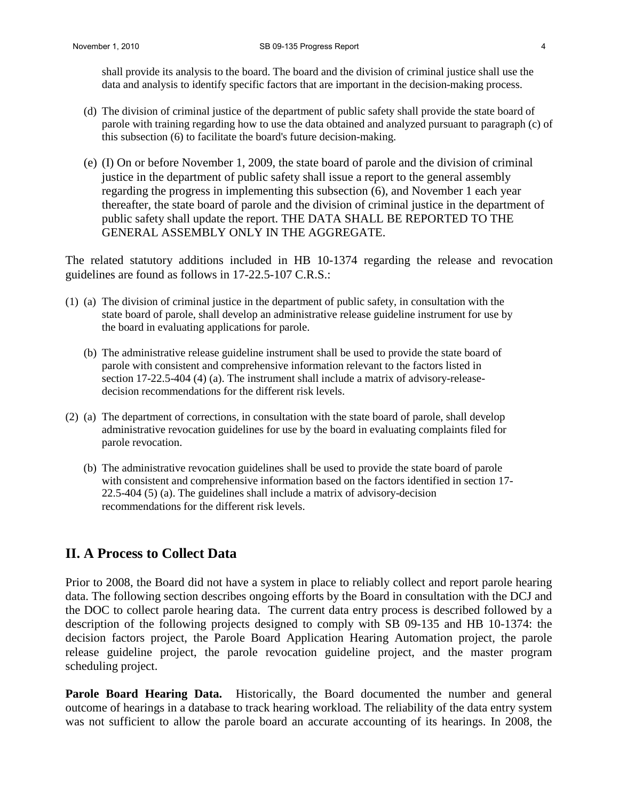shall provide its analysis to the board. The board and the division of criminal justice shall use the data and analysis to identify specific factors that are important in the decision-making process.

- (d) The division of criminal justice of the department of public safety shall provide the state board of parole with training regarding how to use the data obtained and analyzed pursuant to paragraph (c) of this subsection (6) to facilitate the board's future decision-making.
- (e) (I) On or before November 1, 2009, the state board of parole and the division of criminal justice in the department of public safety shall issue a report to the general assembly regarding the progress in implementing this subsection (6), and November 1 each year thereafter, the state board of parole and the division of criminal justice in the department of public safety shall update the report. THE DATA SHALL BE REPORTED TO THE GENERAL ASSEMBLY ONLY IN THE AGGREGATE.

The related statutory additions included in HB 10-1374 regarding the release and revocation guidelines are found as follows in 17-22.5-107 C.R.S.:

- (1) (a) The division of criminal justice in the department of public safety, in consultation with the state board of parole, shall develop an administrative release guideline instrument for use by the board in evaluating applications for parole.
	- (b) The administrative release guideline instrument shall be used to provide the state board of parole with consistent and comprehensive information relevant to the factors listed in section 17-22.5-404 (4) (a). The instrument shall include a matrix of advisory-release decision recommendations for the different risk levels.
- (2) (a) The department of corrections, in consultation with the state board of parole, shall develop administrative revocation guidelines for use by the board in evaluating complaints filed for parole revocation.
	- (b) The administrative revocation guidelines shall be used to provide the state board of parole with consistent and comprehensive information based on the factors identified in section 17- 22.5-404 (5) (a). The guidelines shall include a matrix of advisory-decision recommendations for the different risk levels.

## **II. A Process to Collect Data**

Prior to 2008, the Board did not have a system in place to reliably collect and report parole hearing data. The following section describes ongoing efforts by the Board in consultation with the DCJ and the DOC to collect parole hearing data. The current data entry process is described followed by a description of the following projects designed to comply with SB 09-135 and HB 10-1374: the decision factors project, the Parole Board Application Hearing Automation project, the parole release guideline project, the parole revocation guideline project, and the master program scheduling project.

Parole Board Hearing Data. Historically, the Board documented the number and general outcome of hearings in a database to track hearing workload. The reliability of the data entry system was not sufficient to allow the parole board an accurate accounting of its hearings. In 2008, the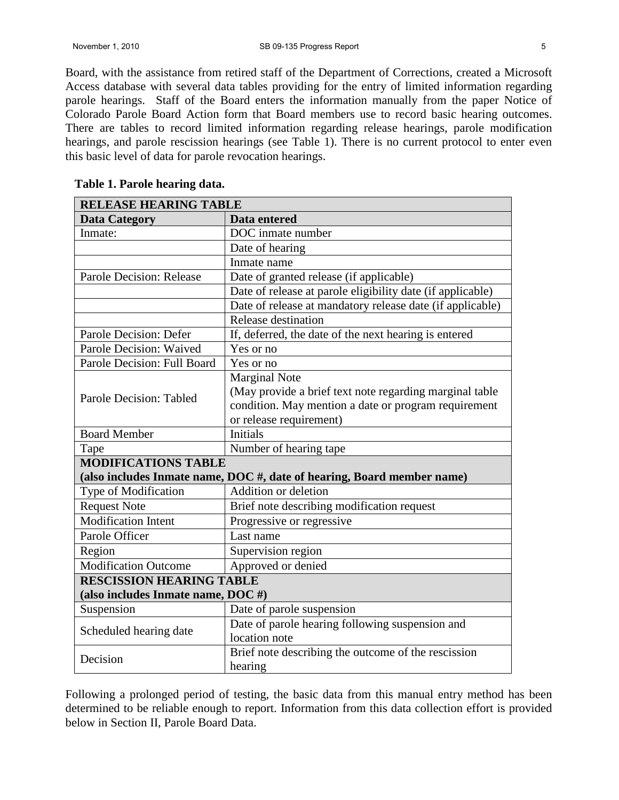Board, with the assistance from retired staff of the Department of Corrections, created a Microsoft Access database with several data tables providing for the entry of limited information regarding parole hearings. Staff of the Board enters the information manually from the paper Notice of Colorado Parole Board Action form that Board members use to record basic hearing outcomes. There are tables to record limited information regarding release hearings, parole modification hearings, and parole rescission hearings (see Table 1). There is no current protocol to enter even this basic level of data for parole revocation hearings.

| <b>RELEASE HEARING TABLE</b>      |                                                                        |  |  |  |  |  |
|-----------------------------------|------------------------------------------------------------------------|--|--|--|--|--|
| <b>Data Category</b>              | Data entered                                                           |  |  |  |  |  |
| Inmate:                           | DOC inmate number                                                      |  |  |  |  |  |
|                                   | Date of hearing                                                        |  |  |  |  |  |
|                                   | Inmate name                                                            |  |  |  |  |  |
| Parole Decision: Release          | Date of granted release (if applicable)                                |  |  |  |  |  |
|                                   | Date of release at parole eligibility date (if applicable)             |  |  |  |  |  |
|                                   | Date of release at mandatory release date (if applicable)              |  |  |  |  |  |
|                                   | Release destination                                                    |  |  |  |  |  |
| Parole Decision: Defer            | If, deferred, the date of the next hearing is entered                  |  |  |  |  |  |
| Parole Decision: Waived           | Yes or no                                                              |  |  |  |  |  |
| Parole Decision: Full Board       | Yes or no                                                              |  |  |  |  |  |
|                                   | <b>Marginal Note</b>                                                   |  |  |  |  |  |
| Parole Decision: Tabled           | (May provide a brief text note regarding marginal table                |  |  |  |  |  |
|                                   | condition. May mention a date or program requirement                   |  |  |  |  |  |
|                                   | or release requirement)                                                |  |  |  |  |  |
| <b>Board Member</b>               | <b>Initials</b>                                                        |  |  |  |  |  |
| Tape                              | Number of hearing tape                                                 |  |  |  |  |  |
| <b>MODIFICATIONS TABLE</b>        |                                                                        |  |  |  |  |  |
|                                   | (also includes Inmate name, DOC #, date of hearing, Board member name) |  |  |  |  |  |
| Type of Modification              | Addition or deletion                                                   |  |  |  |  |  |
| <b>Request Note</b>               | Brief note describing modification request                             |  |  |  |  |  |
| <b>Modification Intent</b>        | Progressive or regressive                                              |  |  |  |  |  |
| Parole Officer                    | Last name                                                              |  |  |  |  |  |
| Region                            | Supervision region                                                     |  |  |  |  |  |
| <b>Modification Outcome</b>       | Approved or denied                                                     |  |  |  |  |  |
| <b>RESCISSION HEARING TABLE</b>   |                                                                        |  |  |  |  |  |
| (also includes Inmate name, DOC#) |                                                                        |  |  |  |  |  |
| Suspension                        | Date of parole suspension                                              |  |  |  |  |  |
| Scheduled hearing date            | Date of parole hearing following suspension and                        |  |  |  |  |  |
|                                   | location note                                                          |  |  |  |  |  |
|                                   | Brief note describing the outcome of the rescission                    |  |  |  |  |  |
| Decision                          | hearing                                                                |  |  |  |  |  |

#### **Table 1. Parole hearing data.**

Following a prolonged period of testing, the basic data from this manual entry method has been determined to be reliable enough to report. Information from this data collection effort is provided below in Section II, Parole Board Data.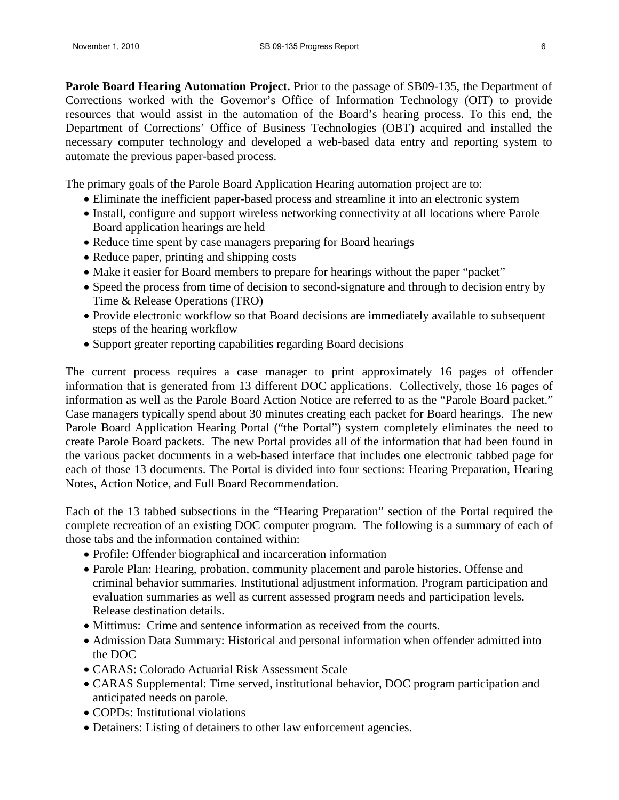**Parole Board Hearing Automation Project.** Prior to the passage of SB09-135, the Department of Corrections worked with the Governor's Office of Information Technology (OIT) to provide resources that would assist in the automation of the Board's hearing process. To this end, the Department of Corrections' Office of Business Technologies (OBT) acquired and installed the necessary computer technology and developed a web-based data entry and reporting system to automate the previous paper-based process.

The primary goals of the Parole Board Application Hearing automation project are to:

- Eliminate the inefficient paper-based process and streamline it into an electronic system
- Install, configure and support wireless networking connectivity at all locations where Parole Board application hearings are held
- Reduce time spent by case managers preparing for Board hearings
- Reduce paper, printing and shipping costs
- Make it easier for Board members to prepare for hearings without the paper "packet"
- Speed the process from time of decision to second-signature and through to decision entry by Time & Release Operations (TRO)
- Provide electronic workflow so that Board decisions are immediately available to subsequent steps of the hearing workflow
- Support greater reporting capabilities regarding Board decisions

The current process requires a case manager to print approximately 16 pages of offender information that is generated from 13 different DOC applications. Collectively, those 16 pages of information as well as the Parole Board Action Notice are referred to as the "Parole Board packet." Case managers typically spend about 30 minutes creating each packet for Board hearings. The new Parole Board Application Hearing Portal ("the Portal") system completely eliminates the need to create Parole Board packets. The new Portal provides all of the information that had been found in the various packet documents in a web-based interface that includes one electronic tabbed page for each of those 13 documents. The Portal is divided into four sections: Hearing Preparation, Hearing Notes, Action Notice, and Full Board Recommendation.

Each of the 13 tabbed subsections in the "Hearing Preparation" section of the Portal required the complete recreation of an existing DOC computer program. The following is a summary of each of those tabs and the information contained within:

- Profile: Offender biographical and incarceration information
- Parole Plan: Hearing, probation, community placement and parole histories. Offense and criminal behavior summaries. Institutional adjustment information. Program participation and evaluation summaries as well as current assessed program needs and participation levels. Release destination details.
- Mittimus: Crime and sentence information as received from the courts.
- Admission Data Summary: Historical and personal information when offender admitted into the DOC
- CARAS: Colorado Actuarial Risk Assessment Scale
- CARAS Supplemental: Time served, institutional behavior, DOC program participation and anticipated needs on parole.
- COPDs: Institutional violations
- Detainers: Listing of detainers to other law enforcement agencies.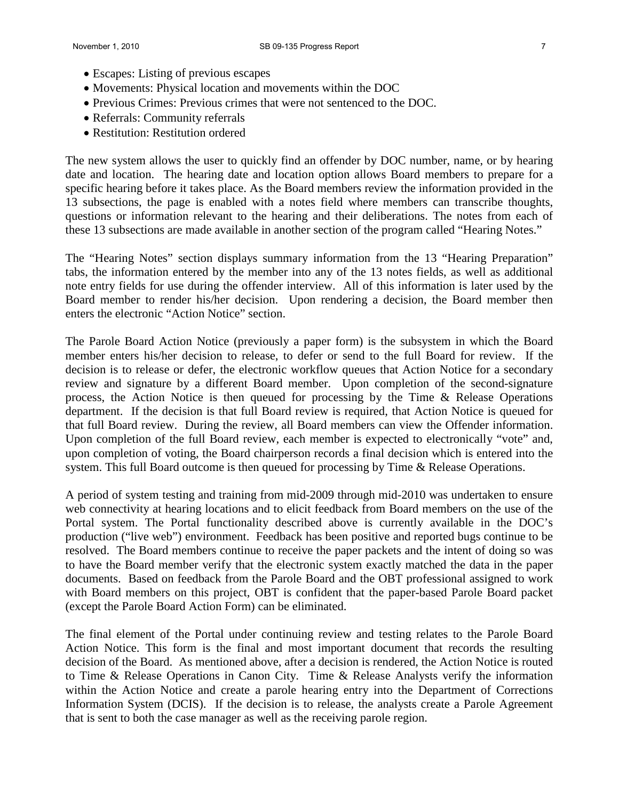- Escapes: Listing of previous escapes
- Movements: Physical location and movements within the DOC
- Previous Crimes: Previous crimes that were not sentenced to the DOC.
- Referrals: Community referrals
- Restitution: Restitution ordered

The new system allows the user to quickly find an offender by DOC number, name, or by hearing date and location. The hearing date and location option allows Board members to prepare for a specific hearing before it takes place. As the Board members review the information provided in the 13 subsections, the page is enabled with a notes field where members can transcribe thoughts, questions or information relevant to the hearing and their deliberations. The notes from each of these 13 subsections are made available in another section of the program called "Hearing Notes."

The "Hearing Notes" section displays summary information from the 13 "Hearing Preparation" tabs, the information entered by the member into any of the 13 notes fields, as well as additional note entry fields for use during the offender interview. All of this information is later used by the Board member to render his/her decision. Upon rendering a decision, the Board member then enters the electronic "Action Notice" section.

The Parole Board Action Notice (previously a paper form) is the subsystem in which the Board member enters his/her decision to release, to defer or send to the full Board for review. If the decision is to release or defer, the electronic workflow queues that Action Notice for a secondary review and signature by a different Board member. Upon completion of the second-signature process, the Action Notice is then queued for processing by the Time & Release Operations department. If the decision is that full Board review is required, that Action Notice is queued for that full Board review. During the review, all Board members can view the Offender information. Upon completion of the full Board review, each member is expected to electronically "vote" and, upon completion of voting, the Board chairperson records a final decision which is entered into the system. This full Board outcome is then queued for processing by Time  $\&$  Release Operations.

A period of system testing and training from mid-2009 through mid-2010 was undertaken to ensure web connectivity at hearing locations and to elicit feedback from Board members on the use of the Portal system. The Portal functionality described above is currently available in the DOC's production ("live web") environment. Feedback has been positive and reported bugs continue to be resolved. The Board members continue to receive the paper packets and the intent of doing so was to have the Board member verify that the electronic system exactly matched the data in the paper documents. Based on feedback from the Parole Board and the OBT professional assigned to work with Board members on this project, OBT is confident that the paper-based Parole Board packet (except the Parole Board Action Form) can be eliminated.

The final element of the Portal under continuing review and testing relates to the Parole Board Action Notice. This form is the final and most important document that records the resulting decision of the Board. As mentioned above, after a decision is rendered, the Action Notice is routed to Time & Release Operations in Canon City. Time & Release Analysts verify the information within the Action Notice and create a parole hearing entry into the Department of Corrections Information System (DCIS). If the decision is to release, the analysts create a Parole Agreement that is sent to both the case manager as well as the receiving parole region.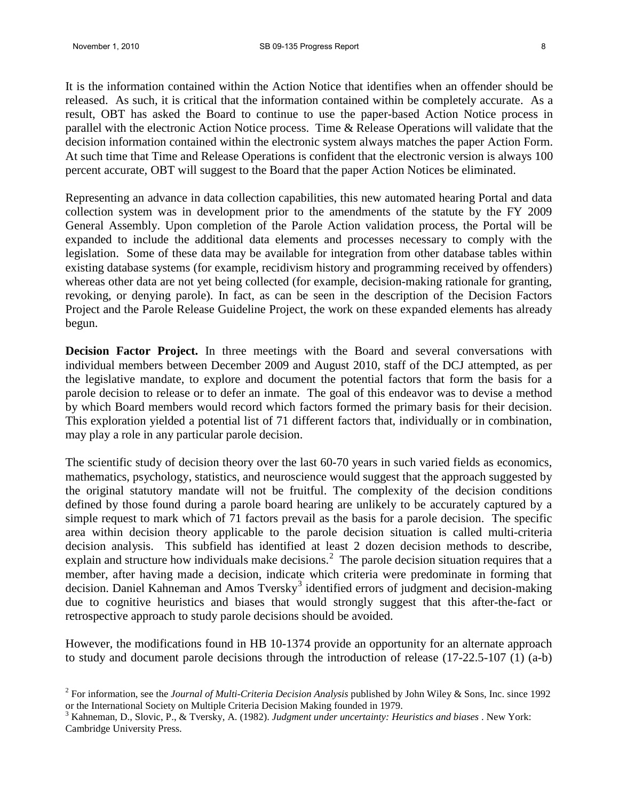It is the information contained within the Action Notice that identifies when an offender should be released. As such, it is critical that the information contained within be completely accurate. As a result, OBT has asked the Board to continue to use the paper-based Action Notice process in parallel with the electronic Action Notice process. Time & Release Operations will validate that the decision information contained within the electronic system always matches the paper Action Form. At such time that Time and Release Operations is confident that the electronic version is always 100 percent accurate, OBT will suggest to the Board that the paper Action Notices be eliminated.

Representing an advance in data collection capabilities, this new automated hearing Portal and data collection system was in development prior to the amendments of the statute by the FY 2009 General Assembly. Upon completion of the Parole Action validation process, the Portal will be expanded to include the additional data elements and processes necessary to comply with the legislation. Some of these data may be available for integration from other database tables within existing database systems (for example, recidivism history and programming received by offenders) whereas other data are not yet being collected (for example, decision-making rationale for granting, revoking, or denying parole). In fact, as can be seen in the description of the Decision Factors Project and the Parole Release Guideline Project, the work on these expanded elements has already begun.

**Decision Factor Project.** In three meetings with the Board and several conversations with individual members between December 2009 and August 2010, staff of the DCJ attempted, as per the legislative mandate, to explore and document the potential factors that form the basis for a parole decision to release or to defer an inmate. The goal of this endeavor was to devise a method by which Board members would record which factors formed the primary basis for their decision. This exploration yielded a potential list of 71 different factors that, individually or in combination, may play a role in any particular parole decision.

The scientific study of decision theory over the last 60-70 years in such varied fields as economics, mathematics, psychology, statistics, and neuroscience would suggest that the approach suggested by the original statutory mandate will not be fruitful. The complexity of the decision conditions defined by those found during a parole board hearing are unlikely to be accurately captured by a simple request to mark which of 71 factors prevail as the basis for a parole decision. The specific area within decision theory applicable to the parole decision situation is called multi-criteria decision analysis. This subfield has identified at least 2 dozen decision methods to describe, explain and structure how individuals make decisions.<sup>[2](#page-7-0)</sup> The parole decision situation requires that a member, after having made a decision, indicate which criteria were predominate in forming that decision. Daniel Kahneman and Amos Tversky<sup>[3](#page-7-1)</sup> identified errors of judgment and decision-making due to cognitive heuristics and biases that would strongly suggest that this after-the-fact or retrospective approach to study parole decisions should be avoided.

However, the modifications found in HB 10-1374 provide an opportunity for an alternate approach to study and document parole decisions through the introduction of release (17-22.5-107 (1) (a-b)

<span id="page-7-0"></span><sup>2</sup> For information, see the *Journal of Multi-Criteria Decision Analysis* published by John Wiley & Sons, Inc. since 1992 or the International Society on Multiple Criteria Decision Making founded in 1979.

<span id="page-7-1"></span><sup>3</sup> Kahneman, D., Slovic, P., & Tversky, A. (1982). *Judgment under uncertainty: Heuristics and biases* . New York: Cambridge University Press.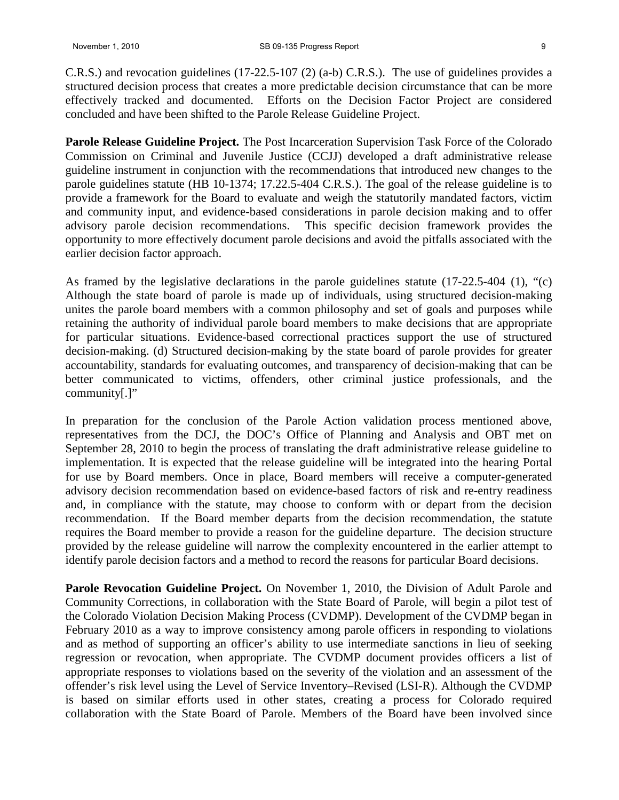C.R.S.) and revocation guidelines (17-22.5-107 (2) (a-b) C.R.S.). The use of guidelines provides a structured decision process that creates a more predictable decision circumstance that can be more effectively tracked and documented. Efforts on the Decision Factor Project are considered concluded and have been shifted to the Parole Release Guideline Project.

**Parole Release Guideline Project.** The Post Incarceration Supervision Task Force of the Colorado Commission on Criminal and Juvenile Justice (CCJJ) developed a draft administrative release guideline instrument in conjunction with the recommendations that introduced new changes to the parole guidelines statute (HB 10-1374; 17.22.5-404 C.R.S.). The goal of the release guideline is to provide a framework for the Board to evaluate and weigh the statutorily mandated factors, victim and community input, and evidence-based considerations in parole decision making and to offer advisory parole decision recommendations. This specific decision framework provides the opportunity to more effectively document parole decisions and avoid the pitfalls associated with the earlier decision factor approach.

As framed by the legislative declarations in the parole guidelines statute (17-22.5-404 (1), "(c) Although the state board of parole is made up of individuals, using structured decision-making unites the parole board members with a common philosophy and set of goals and purposes while retaining the authority of individual parole board members to make decisions that are appropriate for particular situations. Evidence-based correctional practices support the use of structured decision-making. (d) Structured decision-making by the state board of parole provides for greater accountability, standards for evaluating outcomes, and transparency of decision-making that can be better communicated to victims, offenders, other criminal justice professionals, and the community[.]"

In preparation for the conclusion of the Parole Action validation process mentioned above, representatives from the DCJ, the DOC's Office of Planning and Analysis and OBT met on September 28, 2010 to begin the process of translating the draft administrative release guideline to implementation. It is expected that the release guideline will be integrated into the hearing Portal for use by Board members. Once in place, Board members will receive a computer**-**generated advisory decision recommendation based on evidence-based factors of risk and re-entry readiness and, in compliance with the statute, may choose to conform with or depart from the decision recommendation. If the Board member departs from the decision recommendation, the statute requires the Board member to provide a reason for the guideline departure. The decision structure provided by the release guideline will narrow the complexity encountered in the earlier attempt to identify parole decision factors and a method to record the reasons for particular Board decisions.

**Parole Revocation Guideline Project.** On November 1, 2010, the Division of Adult Parole and Community Corrections, in collaboration with the State Board of Parole, will begin a pilot test of the Colorado Violation Decision Making Process (CVDMP). Development of the CVDMP began in February 2010 as a way to improve consistency among parole officers in responding to violations and as method of supporting an officer's ability to use intermediate sanctions in lieu of seeking regression or revocation, when appropriate. The CVDMP document provides officers a list of appropriate responses to violations based on the severity of the violation and an assessment of the offender's risk level using the Level of Service Inventory–Revised (LSI-R). Although the CVDMP is based on similar efforts used in other states, creating a process for Colorado required collaboration with the State Board of Parole. Members of the Board have been involved since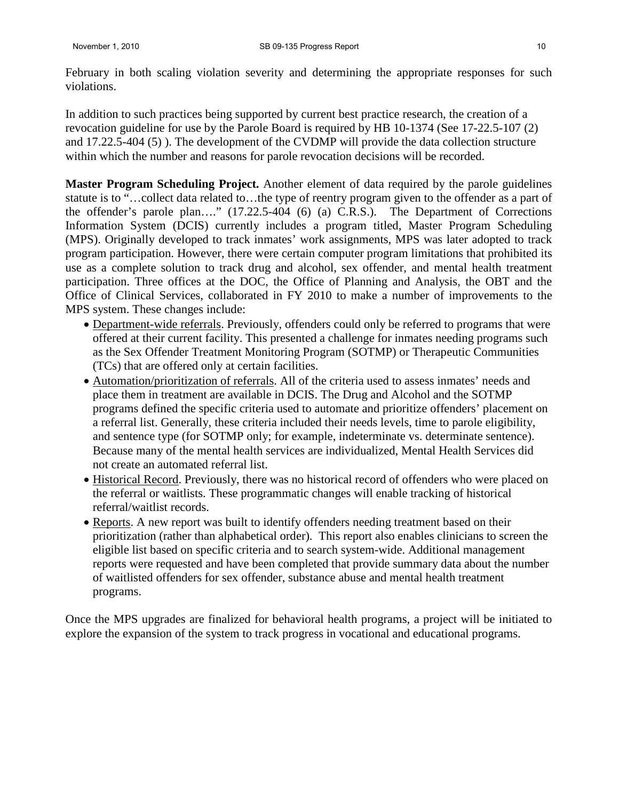February in both scaling violation severity and determining the appropriate responses for such violations.

In addition to such practices being supported by current best practice research, the creation of a revocation guideline for use by the Parole Board is required by HB 10-1374 (See 17-22.5-107 (2) and 17.22.5-404 (5) ). The development of the CVDMP will provide the data collection structure within which the number and reasons for parole revocation decisions will be recorded.

**Master Program Scheduling Project.** Another element of data required by the parole guidelines statute is to "…collect data related to…the type of reentry program given to the offender as a part of the offender's parole plan…." (17.22.5-404 (6) (a) C.R.S.). The Department of Corrections Information System (DCIS) currently includes a program titled, Master Program Scheduling (MPS). Originally developed to track inmates' work assignments, MPS was later adopted to track program participation. However, there were certain computer program limitations that prohibited its use as a complete solution to track drug and alcohol, sex offender, and mental health treatment participation. Three offices at the DOC, the Office of Planning and Analysis, the OBT and the Office of Clinical Services, collaborated in FY 2010 to make a number of improvements to the MPS system. These changes include:

- Department-wide referrals. Previously, offenders could only be referred to programs that were offered at their current facility. This presented a challenge for inmates needing programs such as the Sex Offender Treatment Monitoring Program (SOTMP) or Therapeutic Communities (TCs) that are offered only at certain facilities.
- Automation/prioritization of referrals. All of the criteria used to assess inmates' needs and place them in treatment are available in DCIS. The Drug and Alcohol and the SOTMP programs defined the specific criteria used to automate and prioritize offenders' placement on a referral list. Generally, these criteria included their needs levels, time to parole eligibility, and sentence type (for SOTMP only; for example, indeterminate vs. determinate sentence). Because many of the mental health services are individualized, Mental Health Services did not create an automated referral list.
- Historical Record. Previously, there was no historical record of offenders who were placed on the referral or waitlists. These programmatic changes will enable tracking of historical referral/waitlist records.
- Reports. A new report was built to identify offenders needing treatment based on their prioritization (rather than alphabetical order). This report also enables clinicians to screen the eligible list based on specific criteria and to search system-wide. Additional management reports were requested and have been completed that provide summary data about the number of waitlisted offenders for sex offender, substance abuse and mental health treatment programs.

Once the MPS upgrades are finalized for behavioral health programs, a project will be initiated to explore the expansion of the system to track progress in vocational and educational programs.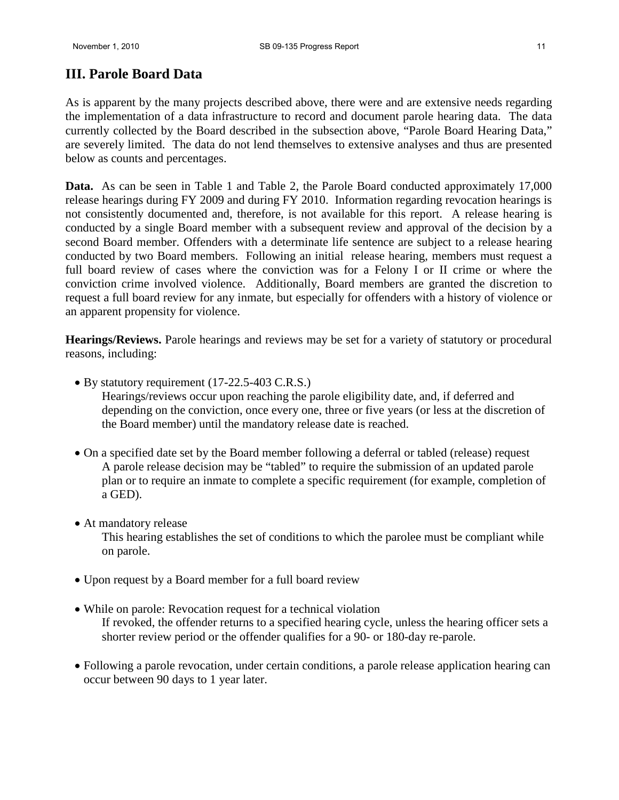# **III. Parole Board Data**

As is apparent by the many projects described above, there were and are extensive needs regarding the implementation of a data infrastructure to record and document parole hearing data. The data currently collected by the Board described in the subsection above, "Parole Board Hearing Data," are severely limited. The data do not lend themselves to extensive analyses and thus are presented below as counts and percentages.

**Data.** As can be seen in Table 1 and Table 2, the Parole Board conducted approximately 17,000 release hearings during FY 2009 and during FY 2010. Information regarding revocation hearings is not consistently documented and, therefore, is not available for this report. A release hearing is conducted by a single Board member with a subsequent review and approval of the decision by a second Board member. Offenders with a determinate life sentence are subject to a release hearing conducted by two Board members. Following an initial release hearing, members must request a full board review of cases where the conviction was for a Felony I or II crime or where the conviction crime involved violence. Additionally, Board members are granted the discretion to request a full board review for any inmate, but especially for offenders with a history of violence or an apparent propensity for violence.

**Hearings/Reviews.** Parole hearings and reviews may be set for a variety of statutory or procedural reasons, including:

- By statutory requirement (17-22.5-403 C.R.S.)
	- Hearings/reviews occur upon reaching the parole eligibility date, and, if deferred and depending on the conviction, once every one, three or five years (or less at the discretion of the Board member) until the mandatory release date is reached.
- On a specified date set by the Board member following a deferral or tabled (release) request A parole release decision may be "tabled" to require the submission of an updated parole plan or to require an inmate to complete a specific requirement (for example, completion of a GED).
- At mandatory release

This hearing establishes the set of conditions to which the parolee must be compliant while on parole.

- Upon request by a Board member for a full board review
- While on parole: Revocation request for a technical violation If revoked, the offender returns to a specified hearing cycle, unless the hearing officer sets a shorter review period or the offender qualifies for a 90- or 180-day re-parole.
- Following a parole revocation, under certain conditions, a parole release application hearing can occur between 90 days to 1 year later.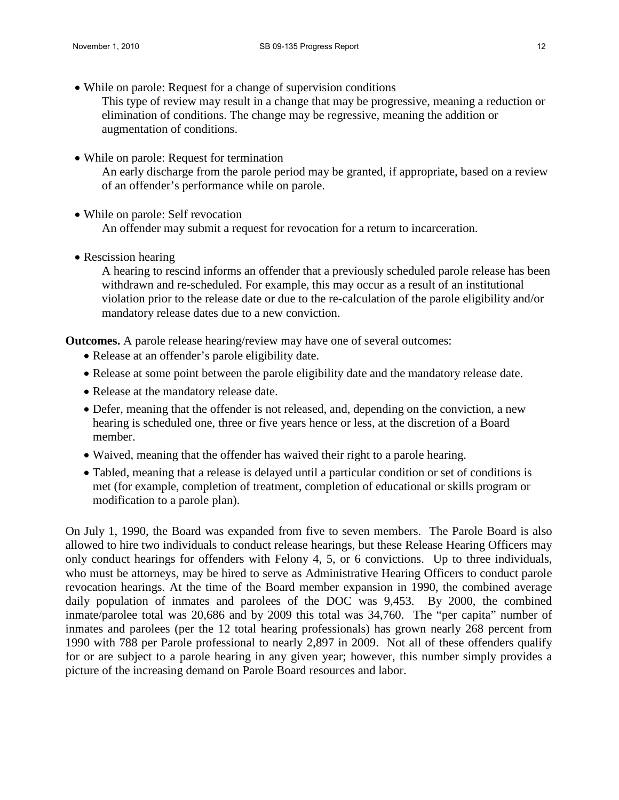• While on parole: Request for a change of supervision conditions

This type of review may result in a change that may be progressive, meaning a reduction or elimination of conditions. The change may be regressive, meaning the addition or augmentation of conditions.

- While on parole: Request for termination An early discharge from the parole period may be granted, if appropriate, based on a review of an offender's performance while on parole.
- While on parole: Self revocation An offender may submit a request for revocation for a return to incarceration.
- Rescission hearing

A hearing to rescind informs an offender that a previously scheduled parole release has been withdrawn and re-scheduled. For example, this may occur as a result of an institutional violation prior to the release date or due to the re-calculation of the parole eligibility and/or mandatory release dates due to a new conviction.

**Outcomes.** A parole release hearing/review may have one of several outcomes:

- Release at an offender's parole eligibility date.
- Release at some point between the parole eligibility date and the mandatory release date.
- Release at the mandatory release date.
- Defer, meaning that the offender is not released, and, depending on the conviction, a new hearing is scheduled one, three or five years hence or less, at the discretion of a Board member.
- Waived, meaning that the offender has waived their right to a parole hearing.
- Tabled, meaning that a release is delayed until a particular condition or set of conditions is met (for example, completion of treatment, completion of educational or skills program or modification to a parole plan).

On July 1, 1990, the Board was expanded from five to seven members. The Parole Board is also allowed to hire two individuals to conduct release hearings, but these Release Hearing Officers may only conduct hearings for offenders with Felony 4, 5, or 6 convictions. Up to three individuals, who must be attorneys, may be hired to serve as Administrative Hearing Officers to conduct parole revocation hearings. At the time of the Board member expansion in 1990, the combined average daily population of inmates and parolees of the DOC was 9,453. By 2000, the combined inmate/parolee total was 20,686 and by 2009 this total was 34,760. The "per capita" number of inmates and parolees (per the 12 total hearing professionals) has grown nearly 268 percent from 1990 with 788 per Parole professional to nearly 2,897 in 2009. Not all of these offenders qualify for or are subject to a parole hearing in any given year; however, this number simply provides a picture of the increasing demand on Parole Board resources and labor.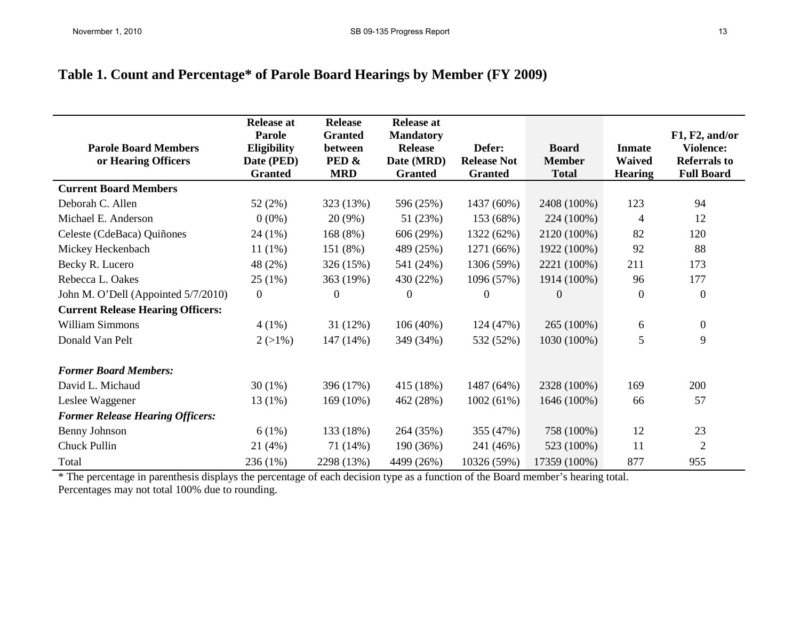# **Table 1. Count and Percentage\* of Parole Board Hearings by Member (FY 2009)**

| <b>Parole Board Members</b><br>or Hearing Officers | <b>Release at</b><br>Parole<br><b>Eligibility</b><br>Date (PED)<br><b>Granted</b> | <b>Release</b><br><b>Granted</b><br>between<br>PED &<br><b>MRD</b> | <b>Release at</b><br><b>Mandatory</b><br><b>Release</b><br>Date (MRD)<br><b>Granted</b> | Defer:<br><b>Release Not</b><br><b>Granted</b> | <b>Board</b><br><b>Member</b><br><b>Total</b> | <b>Inmate</b><br><b>Waived</b><br><b>Hearing</b> | F1, F2, and/or<br><b>Violence:</b><br><b>Referrals to</b><br><b>Full Board</b> |
|----------------------------------------------------|-----------------------------------------------------------------------------------|--------------------------------------------------------------------|-----------------------------------------------------------------------------------------|------------------------------------------------|-----------------------------------------------|--------------------------------------------------|--------------------------------------------------------------------------------|
| <b>Current Board Members</b>                       |                                                                                   |                                                                    |                                                                                         |                                                |                                               |                                                  |                                                                                |
| Deborah C. Allen                                   | 52(2%)                                                                            | 323 (13%)                                                          | 596 (25%)                                                                               | 1437 (60%)                                     | 2408 (100%)                                   | 123                                              | 94                                                                             |
| Michael E. Anderson                                | $0(0\%)$                                                                          | $20(9\%)$                                                          | 51 (23%)                                                                                | 153 (68%)                                      | 224 (100%)                                    | 4                                                | 12                                                                             |
| Celeste (CdeBaca) Quiñones                         | $24(1\%)$                                                                         | 168 (8%)                                                           | 606 (29%)                                                                               | 1322 (62%)                                     | 2120 (100%)                                   | 82                                               | 120                                                                            |
| Mickey Heckenbach                                  | $11(1\%)$                                                                         | 151 (8%)                                                           | 489 (25%)                                                                               | 1271 (66%)                                     | 1922 (100%)                                   | 92                                               | 88                                                                             |
| Becky R. Lucero                                    | 48 (2%)                                                                           | 326 (15%)                                                          | 541 (24%)                                                                               | 1306 (59%)                                     | 2221 (100%)                                   | 211                                              | 173                                                                            |
| Rebecca L. Oakes                                   | 25(1%)                                                                            | 363 (19%)                                                          | 430 (22%)                                                                               | 1096 (57%)                                     | 1914 (100%)                                   | 96                                               | 177                                                                            |
| John M. O'Dell (Appointed 5/7/2010)                | $\boldsymbol{0}$                                                                  | $\Omega$                                                           | $\theta$                                                                                | $\Omega$                                       | $\Omega$                                      | $\mathbf{0}$                                     | $\boldsymbol{0}$                                                               |
| <b>Current Release Hearing Officers:</b>           |                                                                                   |                                                                    |                                                                                         |                                                |                                               |                                                  |                                                                                |
| <b>William Simmons</b>                             | $4(1\%)$                                                                          | 31(12%)                                                            | 106 (40%)                                                                               | 124(47%)                                       | 265 (100%)                                    | 6                                                | $\boldsymbol{0}$                                                               |
| Donald Van Pelt                                    | $2(>1\%)$                                                                         | 147 (14%)                                                          | 349 (34%)                                                                               | 532 (52%)                                      | 1030 (100%)                                   | 5                                                | 9                                                                              |
| <b>Former Board Members:</b>                       |                                                                                   |                                                                    |                                                                                         |                                                |                                               |                                                  |                                                                                |
| David L. Michaud                                   | $30(1\%)$                                                                         | 396 (17%)                                                          | 415 (18%)                                                                               | 1487 (64%)                                     | 2328 (100%)                                   | 169                                              | 200                                                                            |
| Leslee Waggener                                    | $13(1\%)$                                                                         | $169(10\%)$                                                        | 462 (28%)                                                                               | 1002(61%)                                      | 1646 (100%)                                   | 66                                               | 57                                                                             |
| <b>Former Release Hearing Officers:</b>            |                                                                                   |                                                                    |                                                                                         |                                                |                                               |                                                  |                                                                                |
| <b>Benny Johnson</b>                               | 6(1%)                                                                             | 133 (18%)                                                          | 264 (35%)                                                                               | 355 (47%)                                      | 758 (100%)                                    | 12                                               | 23                                                                             |
| Chuck Pullin                                       | 21(4%)                                                                            | 71 (14%)                                                           | 190 (36%)                                                                               | 241 (46%)                                      | 523 (100%)                                    | 11                                               | $\overline{2}$                                                                 |
| Total                                              | $236(1\%)$                                                                        | 2298 (13%)                                                         | 4499 (26%)                                                                              | 10326 (59%)                                    | 17359 (100%)                                  | 877                                              | 955                                                                            |

\* The percentage in parenthesis displays the percentage of each decision type as a function of the Board member's hearing total. Percentages may not total 100% due to rounding.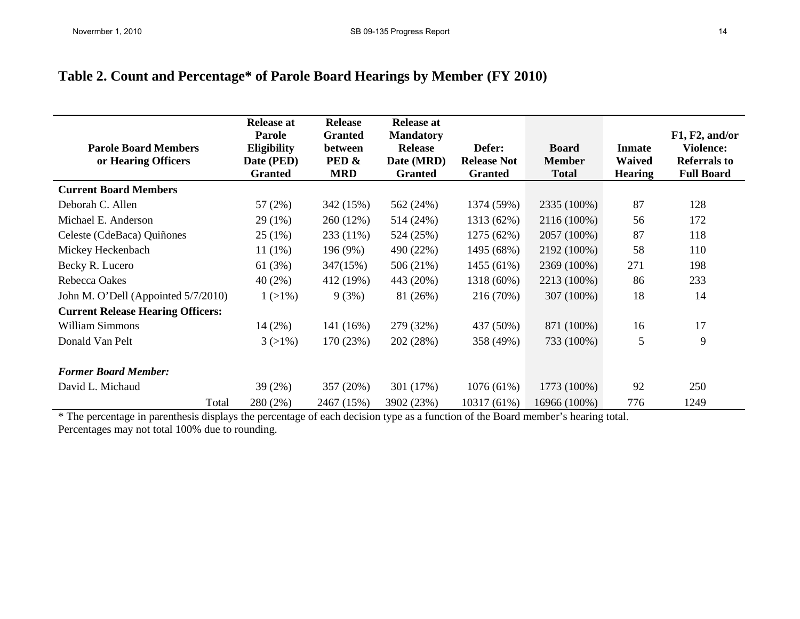| <b>Parole Board Members</b><br>or Hearing Officers | <b>Release at</b><br>Parole<br><b>Eligibility</b><br>Date (PED)<br><b>Granted</b> | <b>Release</b><br><b>Granted</b><br><b>between</b><br>PED &<br><b>MRD</b> | <b>Release at</b><br><b>Mandatory</b><br><b>Release</b><br>Date (MRD)<br><b>Granted</b> | Defer:<br><b>Release Not</b><br><b>Granted</b> | <b>Board</b><br><b>Member</b><br><b>Total</b> | <b>Inmate</b><br><b>Waived</b><br><b>Hearing</b> | F1, F2, and/or<br><b>Violence:</b><br>Referrals to<br><b>Full Board</b> |
|----------------------------------------------------|-----------------------------------------------------------------------------------|---------------------------------------------------------------------------|-----------------------------------------------------------------------------------------|------------------------------------------------|-----------------------------------------------|--------------------------------------------------|-------------------------------------------------------------------------|
| <b>Current Board Members</b>                       |                                                                                   |                                                                           |                                                                                         |                                                |                                               |                                                  |                                                                         |
| Deborah C. Allen                                   | 57(2%)                                                                            | 342 (15%)                                                                 | 562 (24%)                                                                               | 1374 (59%)                                     | 2335 (100%)                                   | 87                                               | 128                                                                     |
| Michael E. Anderson                                | 29 (1%)                                                                           | 260 (12%)                                                                 | 514 (24%)                                                                               | 1313 (62%)                                     | 2116 (100%)                                   | 56                                               | 172                                                                     |
| Celeste (CdeBaca) Quiñones                         | 25(1%)                                                                            | 233 (11%)                                                                 | 524 (25%)                                                                               | 1275 (62%)                                     | 2057 (100%)                                   | 87                                               | 118                                                                     |
| Mickey Heckenbach                                  | $11(1\%)$                                                                         | 196 (9%)                                                                  | 490 (22%)                                                                               | 1495 (68%)                                     | 2192 (100%)                                   | 58                                               | 110                                                                     |
| Becky R. Lucero                                    | 61 (3%)                                                                           | 347(15%)                                                                  | 506 (21%)                                                                               | 1455 (61%)                                     | 2369 (100%)                                   | 271                                              | 198                                                                     |
| Rebecca Oakes                                      | $40(2\%)$                                                                         | 412 (19%)                                                                 | 443 (20%)                                                                               | 1318 (60%)                                     | 2213 (100%)                                   | 86                                               | 233                                                                     |
| John M. O'Dell (Appointed 5/7/2010)                | $1(>1\%)$                                                                         | 9(3%)                                                                     | 81 (26%)                                                                                | 216 (70%)                                      | 307 (100%)                                    | 18                                               | 14                                                                      |
| <b>Current Release Hearing Officers:</b>           |                                                                                   |                                                                           |                                                                                         |                                                |                                               |                                                  |                                                                         |
| William Simmons                                    | $14(2\%)$                                                                         | 141 (16%)                                                                 | 279 (32%)                                                                               | 437 (50%)                                      | 871 (100%)                                    | 16                                               | 17                                                                      |
| Donald Van Pelt                                    | $3(>1\%)$                                                                         | 170 (23%)                                                                 | 202 (28%)                                                                               | 358 (49%)                                      | 733 (100%)                                    | 5                                                | 9                                                                       |
| <b>Former Board Member:</b>                        |                                                                                   |                                                                           |                                                                                         |                                                |                                               |                                                  |                                                                         |
| David L. Michaud                                   | 39(2%)                                                                            | 357 (20%)                                                                 | 301 (17%)                                                                               | 1076(61%)                                      | 1773 (100%)                                   | 92                                               | 250                                                                     |
| Total                                              | 280 (2%)                                                                          | 2467 (15%)                                                                | 3902 (23%)                                                                              | 10317 (61%)                                    | 16966 (100%)                                  | 776                                              | 1249                                                                    |

\* The percentage in parenthesis displays the percentage of each decision type as a function of the Board member's hearing total. Percentages may not total 100% due to rounding.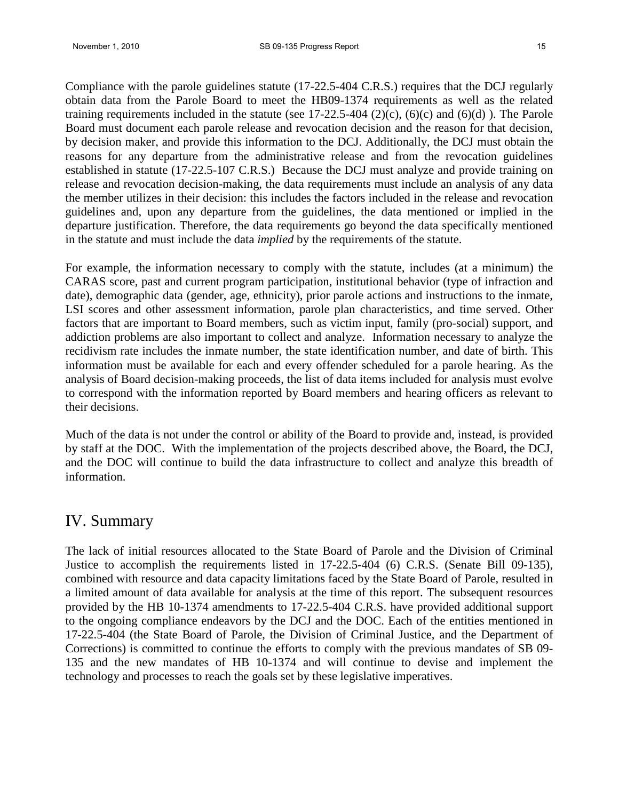Compliance with the parole guidelines statute (17-22.5-404 C.R.S.) requires that the DCJ regularly obtain data from the Parole Board to meet the HB09-1374 requirements as well as the related training requirements included in the statute (see  $17{\text -}22.5{\text -}404$  (2)(c), (6)(c) and (6)(d)). The Parole Board must document each parole release and revocation decision and the reason for that decision, by decision maker, and provide this information to the DCJ. Additionally, the DCJ must obtain the reasons for any departure from the administrative release and from the revocation guidelines established in statute (17-22.5-107 C.R.S.) Because the DCJ must analyze and provide training on release and revocation decision-making, the data requirements must include an analysis of any data the member utilizes in their decision: this includes the factors included in the release and revocation guidelines and, upon any departure from the guidelines, the data mentioned or implied in the departure justification. Therefore, the data requirements go beyond the data specifically mentioned in the statute and must include the data *implied* by the requirements of the statute.

For example, the information necessary to comply with the statute, includes (at a minimum) the CARAS score, past and current program participation, institutional behavior (type of infraction and date), demographic data (gender, age, ethnicity), prior parole actions and instructions to the inmate, LSI scores and other assessment information, parole plan characteristics, and time served. Other factors that are important to Board members, such as victim input, family (pro-social) support, and addiction problems are also important to collect and analyze. Information necessary to analyze the recidivism rate includes the inmate number, the state identification number, and date of birth. This information must be available for each and every offender scheduled for a parole hearing. As the analysis of Board decision-making proceeds, the list of data items included for analysis must evolve to correspond with the information reported by Board members and hearing officers as relevant to their decisions.

Much of the data is not under the control or ability of the Board to provide and, instead, is provided by staff at the DOC. With the implementation of the projects described above, the Board, the DCJ, and the DOC will continue to build the data infrastructure to collect and analyze this breadth of information.

## IV. Summary

The lack of initial resources allocated to the State Board of Parole and the Division of Criminal Justice to accomplish the requirements listed in 17-22.5-404 (6) C.R.S. (Senate Bill 09-135), combined with resource and data capacity limitations faced by the State Board of Parole, resulted in a limited amount of data available for analysis at the time of this report. The subsequent resources provided by the HB 10-1374 amendments to 17-22.5-404 C.R.S. have provided additional support to the ongoing compliance endeavors by the DCJ and the DOC. Each of the entities mentioned in 17-22.5-404 (the State Board of Parole, the Division of Criminal Justice, and the Department of Corrections) is committed to continue the efforts to comply with the previous mandates of SB 09- 135 and the new mandates of HB 10-1374 and will continue to devise and implement the technology and processes to reach the goals set by these legislative imperatives.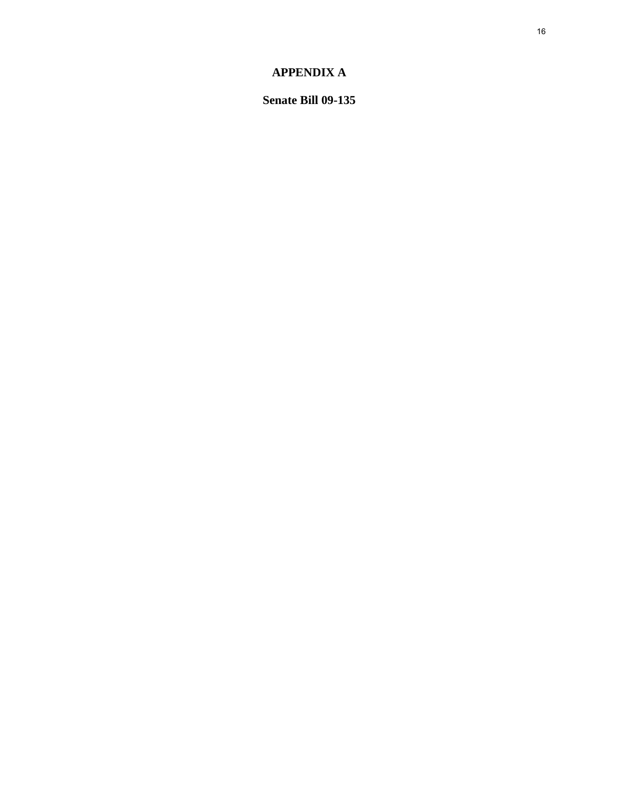## **APPENDIX A**

**Senate Bill 09-135**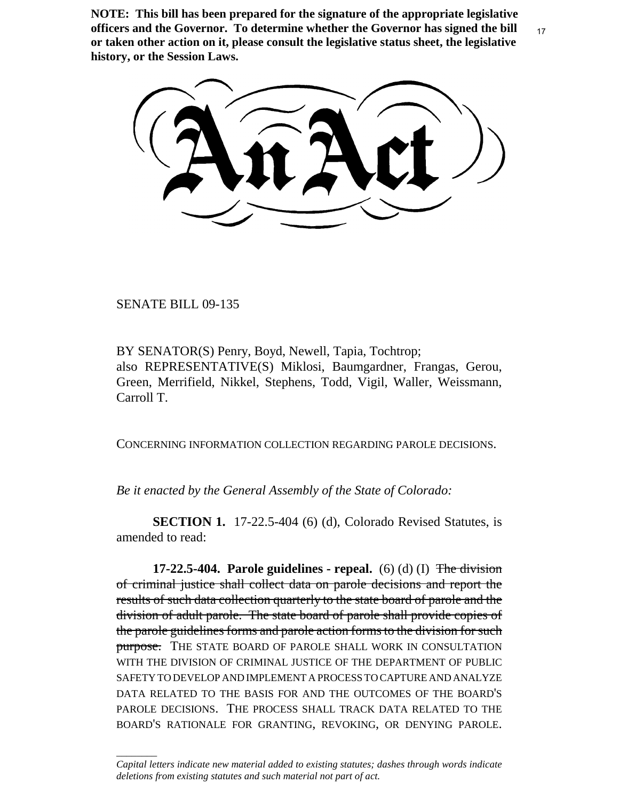**NOTE: This bill has been prepared for the signature of the appropriate legislative officers and the Governor. To determine whether the Governor has signed the bill or taken other action on it, please consult the legislative status sheet, the legislative history, or the Session Laws.**

SENATE BILL 09-135

\_\_\_\_\_\_\_\_

BY SENATOR(S) Penry, Boyd, Newell, Tapia, Tochtrop; also REPRESENTATIVE(S) Miklosi, Baumgardner, Frangas, Gerou, Green, Merrifield, Nikkel, Stephens, Todd, Vigil, Waller, Weissmann, Carroll T.

CONCERNING INFORMATION COLLECTION REGARDING PAROLE DECISIONS.

*Be it enacted by the General Assembly of the State of Colorado:*

**SECTION 1.** 17-22.5-404 (6) (d), Colorado Revised Statutes, is amended to read:

**17-22.5-404. Parole guidelines - repeal.** (6) (d) (I) The division of criminal justice shall collect data on parole decisions and report the results of such data collection quarterly to the state board of parole and the division of adult parole. The state board of parole shall provide copies of the parole guidelines forms and parole action forms to the division for such purpose. THE STATE BOARD OF PAROLE SHALL WORK IN CONSULTATION WITH THE DIVISION OF CRIMINAL JUSTICE OF THE DEPARTMENT OF PUBLIC SAFETY TO DEVELOP AND IMPLEMENT A PROCESS TO CAPTURE AND ANALYZE DATA RELATED TO THE BASIS FOR AND THE OUTCOMES OF THE BOARD'S PAROLE DECISIONS. THE PROCESS SHALL TRACK DATA RELATED TO THE BOARD'S RATIONALE FOR GRANTING, REVOKING, OR DENYING PAROLE.

*Capital letters indicate new material added to existing statutes; dashes through words indicate deletions from existing statutes and such material not part of act.*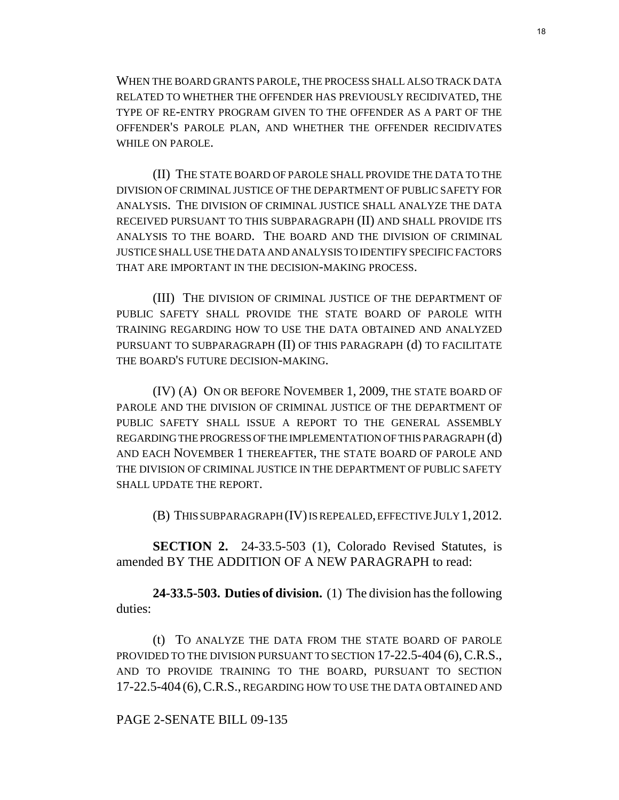WHEN THE BOARD GRANTS PAROLE, THE PROCESS SHALL ALSO TRACK DATA RELATED TO WHETHER THE OFFENDER HAS PREVIOUSLY RECIDIVATED, THE TYPE OF RE-ENTRY PROGRAM GIVEN TO THE OFFENDER AS A PART OF THE OFFENDER'S PAROLE PLAN, AND WHETHER THE OFFENDER RECIDIVATES WHILE ON PAROLE.

(II) THE STATE BOARD OF PAROLE SHALL PROVIDE THE DATA TO THE DIVISION OF CRIMINAL JUSTICE OF THE DEPARTMENT OF PUBLIC SAFETY FOR ANALYSIS. THE DIVISION OF CRIMINAL JUSTICE SHALL ANALYZE THE DATA RECEIVED PURSUANT TO THIS SUBPARAGRAPH (II) AND SHALL PROVIDE ITS ANALYSIS TO THE BOARD. THE BOARD AND THE DIVISION OF CRIMINAL JUSTICE SHALL USE THE DATA AND ANALYSIS TO IDENTIFY SPECIFIC FACTORS THAT ARE IMPORTANT IN THE DECISION-MAKING PROCESS.

(III) THE DIVISION OF CRIMINAL JUSTICE OF THE DEPARTMENT OF PUBLIC SAFETY SHALL PROVIDE THE STATE BOARD OF PAROLE WITH TRAINING REGARDING HOW TO USE THE DATA OBTAINED AND ANALYZED PURSUANT TO SUBPARAGRAPH (II) OF THIS PARAGRAPH (d) TO FACILITATE THE BOARD'S FUTURE DECISION-MAKING.

(IV) (A) ON OR BEFORE NOVEMBER 1, 2009, THE STATE BOARD OF PAROLE AND THE DIVISION OF CRIMINAL JUSTICE OF THE DEPARTMENT OF PUBLIC SAFETY SHALL ISSUE A REPORT TO THE GENERAL ASSEMBLY REGARDING THE PROGRESS OF THE IMPLEMENTATION OF THIS PARAGRAPH (d) AND EACH NOVEMBER 1 THEREAFTER, THE STATE BOARD OF PAROLE AND THE DIVISION OF CRIMINAL JUSTICE IN THE DEPARTMENT OF PUBLIC SAFETY SHALL UPDATE THE REPORT.

(B) THIS SUBPARAGRAPH (IV) IS REPEALED, EFFECTIVE JULY 1,2012.

**SECTION 2.** 24-33.5-503 (1), Colorado Revised Statutes, is amended BY THE ADDITION OF A NEW PARAGRAPH to read:

**24-33.5-503. Duties of division.** (1) The division has the following duties:

(t) TO ANALYZE THE DATA FROM THE STATE BOARD OF PAROLE PROVIDED TO THE DIVISION PURSUANT TO SECTION 17-22.5-404 (6), C.R.S., AND TO PROVIDE TRAINING TO THE BOARD, PURSUANT TO SECTION 17-22.5-404 (6),C.R.S., REGARDING HOW TO USE THE DATA OBTAINED AND

## PAGE 2-SENATE BILL 09-135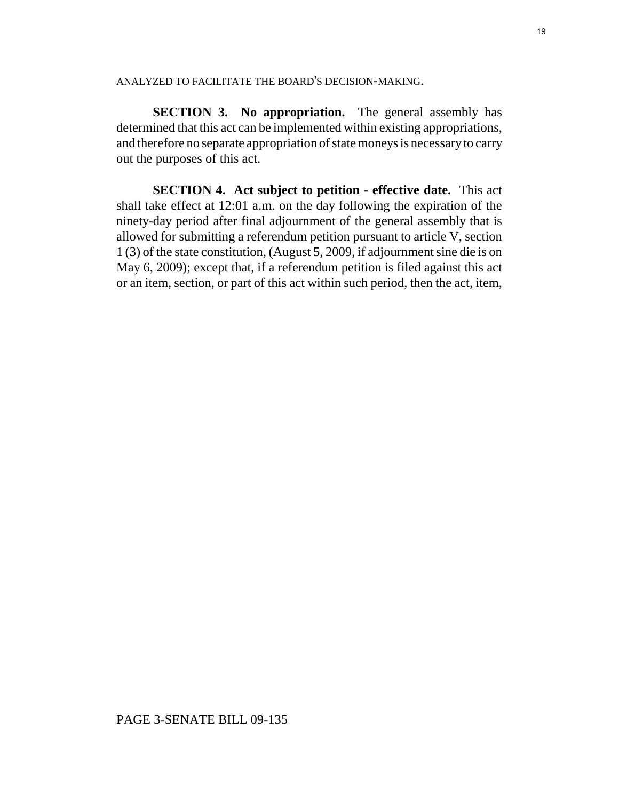#### ANALYZED TO FACILITATE THE BOARD'S DECISION-MAKING.

**SECTION 3. No appropriation.** The general assembly has determined that this act can be implemented within existing appropriations, and therefore no separate appropriation of state moneys is necessary to carry out the purposes of this act.

**SECTION 4. Act subject to petition - effective date.** This act shall take effect at 12:01 a.m. on the day following the expiration of the ninety-day period after final adjournment of the general assembly that is allowed for submitting a referendum petition pursuant to article V, section 1 (3) of the state constitution, (August 5, 2009, if adjournment sine die is on May 6, 2009); except that, if a referendum petition is filed against this act or an item, section, or part of this act within such period, then the act, item,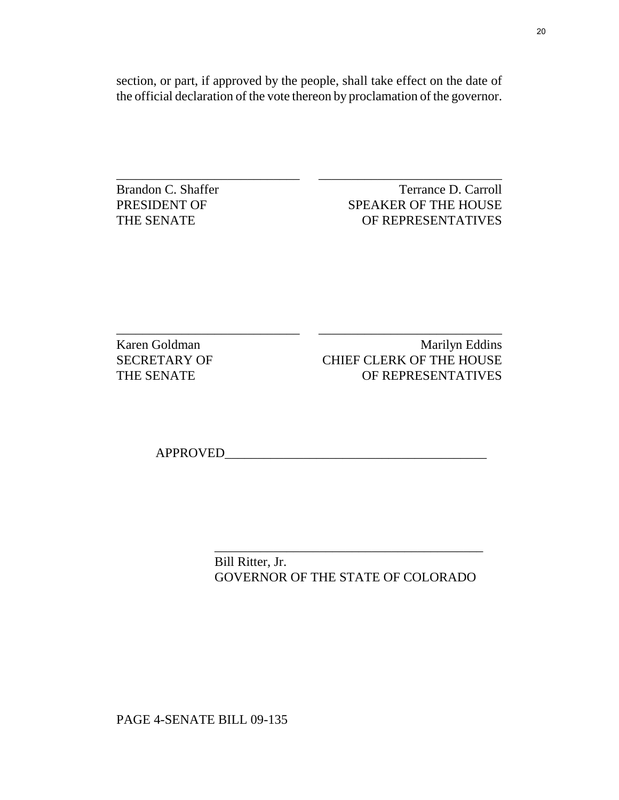section, or part, if approved by the people, shall take effect on the date of the official declaration of the vote thereon by proclamation of the governor.

\_\_\_\_\_\_\_\_\_\_\_\_\_\_\_\_\_\_\_\_\_\_\_\_\_\_\_\_ \_\_\_\_\_\_\_\_\_\_\_\_\_\_\_\_\_\_\_\_\_\_\_\_\_\_\_\_

\_\_\_\_\_\_\_\_\_\_\_\_\_\_\_\_\_\_\_\_\_\_\_\_\_\_\_\_ \_\_\_\_\_\_\_\_\_\_\_\_\_\_\_\_\_\_\_\_\_\_\_\_\_\_\_\_

Brandon C. Shaffer Terrance D. Carroll PRESIDENT OF SPEAKER OF THE HOUSE THE SENATE OF REPRESENTATIVES

Karen Goldman Marilyn Eddins SECRETARY OF CHIEF CLERK OF THE HOUSE THE SENATE OF REPRESENTATIVES

APPROVED\_\_\_\_\_\_\_\_\_\_\_\_\_\_\_\_\_\_\_\_\_\_\_\_\_\_\_\_\_\_\_\_\_\_\_\_\_\_\_\_

 Bill Ritter, Jr. GOVERNOR OF THE STATE OF COLORADO

 $\frac{1}{\sqrt{2}}$  ,  $\frac{1}{\sqrt{2}}$  ,  $\frac{1}{\sqrt{2}}$  ,  $\frac{1}{\sqrt{2}}$  ,  $\frac{1}{\sqrt{2}}$  ,  $\frac{1}{\sqrt{2}}$  ,  $\frac{1}{\sqrt{2}}$  ,  $\frac{1}{\sqrt{2}}$  ,  $\frac{1}{\sqrt{2}}$  ,  $\frac{1}{\sqrt{2}}$  ,  $\frac{1}{\sqrt{2}}$  ,  $\frac{1}{\sqrt{2}}$  ,  $\frac{1}{\sqrt{2}}$  ,  $\frac{1}{\sqrt{2}}$  ,  $\frac{1}{\sqrt{2}}$ 

PAGE 4-SENATE BILL 09-135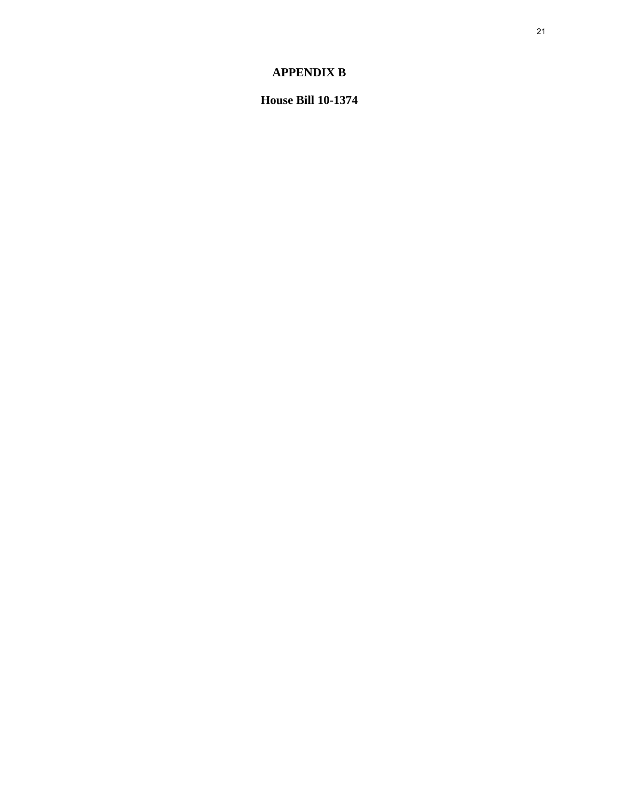## **APPENDIX B**

**House Bill 10-1374**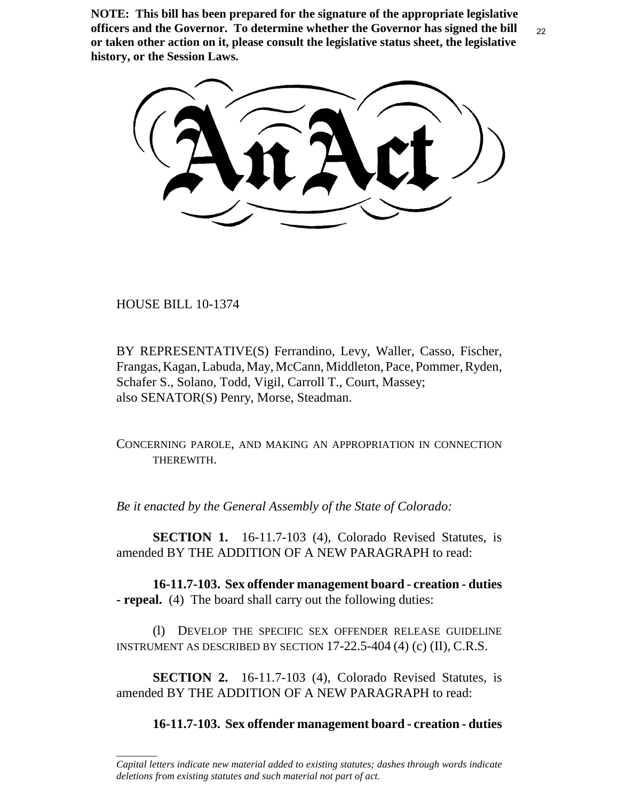**NOTE: This bill has been prepared for the signature of the appropriate legislative officers and the Governor. To determine whether the Governor has signed the bill or taken other action on it, please consult the legislative status sheet, the legislative history, or the Session Laws.**

HOUSE BILL 10-1374

\_\_\_\_\_\_\_\_

BY REPRESENTATIVE(S) Ferrandino, Levy, Waller, Casso, Fischer, Frangas, Kagan, Labuda, May, McCann, Middleton, Pace, Pommer, Ryden, Schafer S., Solano, Todd, Vigil, Carroll T., Court, Massey; also SENATOR(S) Penry, Morse, Steadman.

CONCERNING PAROLE, AND MAKING AN APPROPRIATION IN CONNECTION THEREWITH.

*Be it enacted by the General Assembly of the State of Colorado:*

**SECTION 1.** 16-11.7-103 (4), Colorado Revised Statutes, is amended BY THE ADDITION OF A NEW PARAGRAPH to read:

**16-11.7-103. Sex offender management board - creation - duties - repeal.** (4) The board shall carry out the following duties:

(l) DEVELOP THE SPECIFIC SEX OFFENDER RELEASE GUIDELINE INSTRUMENT AS DESCRIBED BY SECTION 17-22.5-404 (4) (c) (II), C.R.S.

**SECTION 2.** 16-11.7-103 (4), Colorado Revised Statutes, is amended BY THE ADDITION OF A NEW PARAGRAPH to read:

**16-11.7-103. Sex offender management board - creation - duties**

*Capital letters indicate new material added to existing statutes; dashes through words indicate deletions from existing statutes and such material not part of act.*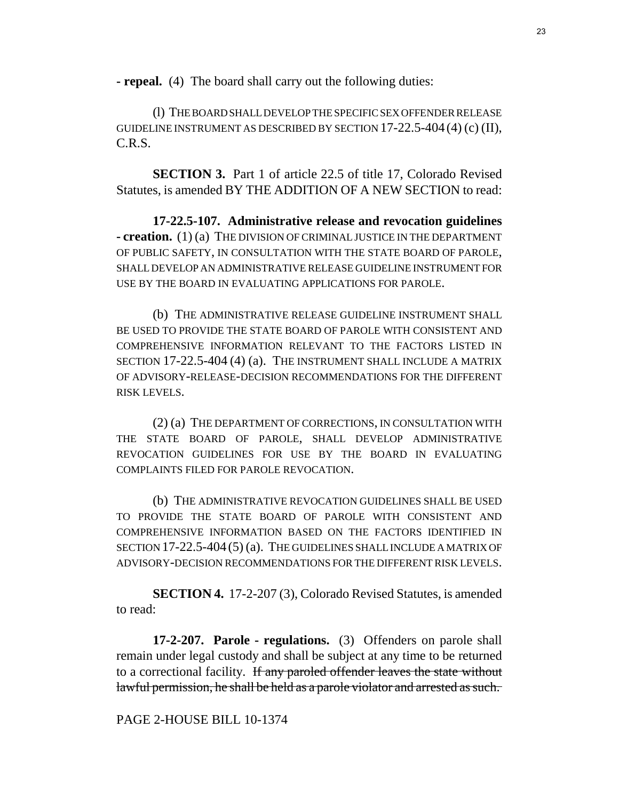**- repeal.** (4) The board shall carry out the following duties:

(l) THE BOARD SHALL DEVELOP THE SPECIFIC SEX OFFENDER RELEASE GUIDELINE INSTRUMENT AS DESCRIBED BY SECTION 17-22.5-404 (4) (c) (II), C.R.S.

**SECTION 3.** Part 1 of article 22.5 of title 17, Colorado Revised Statutes, is amended BY THE ADDITION OF A NEW SECTION to read:

**17-22.5-107. Administrative release and revocation guidelines - creation.** (1) (a) THE DIVISION OF CRIMINAL JUSTICE IN THE DEPARTMENT OF PUBLIC SAFETY, IN CONSULTATION WITH THE STATE BOARD OF PAROLE, SHALL DEVELOP AN ADMINISTRATIVE RELEASE GUIDELINE INSTRUMENT FOR USE BY THE BOARD IN EVALUATING APPLICATIONS FOR PAROLE.

(b) THE ADMINISTRATIVE RELEASE GUIDELINE INSTRUMENT SHALL BE USED TO PROVIDE THE STATE BOARD OF PAROLE WITH CONSISTENT AND COMPREHENSIVE INFORMATION RELEVANT TO THE FACTORS LISTED IN SECTION 17-22.5-404 (4) (a). THE INSTRUMENT SHALL INCLUDE A MATRIX OF ADVISORY-RELEASE-DECISION RECOMMENDATIONS FOR THE DIFFERENT RISK LEVELS.

(2) (a) THE DEPARTMENT OF CORRECTIONS, IN CONSULTATION WITH THE STATE BOARD OF PAROLE, SHALL DEVELOP ADMINISTRATIVE REVOCATION GUIDELINES FOR USE BY THE BOARD IN EVALUATING COMPLAINTS FILED FOR PAROLE REVOCATION.

(b) THE ADMINISTRATIVE REVOCATION GUIDELINES SHALL BE USED TO PROVIDE THE STATE BOARD OF PAROLE WITH CONSISTENT AND COMPREHENSIVE INFORMATION BASED ON THE FACTORS IDENTIFIED IN SECTION 17-22.5-404 (5) (a). THE GUIDELINES SHALL INCLUDE A MATRIX OF ADVISORY-DECISION RECOMMENDATIONS FOR THE DIFFERENT RISK LEVELS.

**SECTION 4.** 17-2-207 (3), Colorado Revised Statutes, is amended to read:

**17-2-207. Parole - regulations.** (3) Offenders on parole shall remain under legal custody and shall be subject at any time to be returned to a correctional facility. If any paroled offender leaves the state without lawful permission, he shall be held as a parole violator and arrested as such.

## PAGE 2-HOUSE BILL 10-1374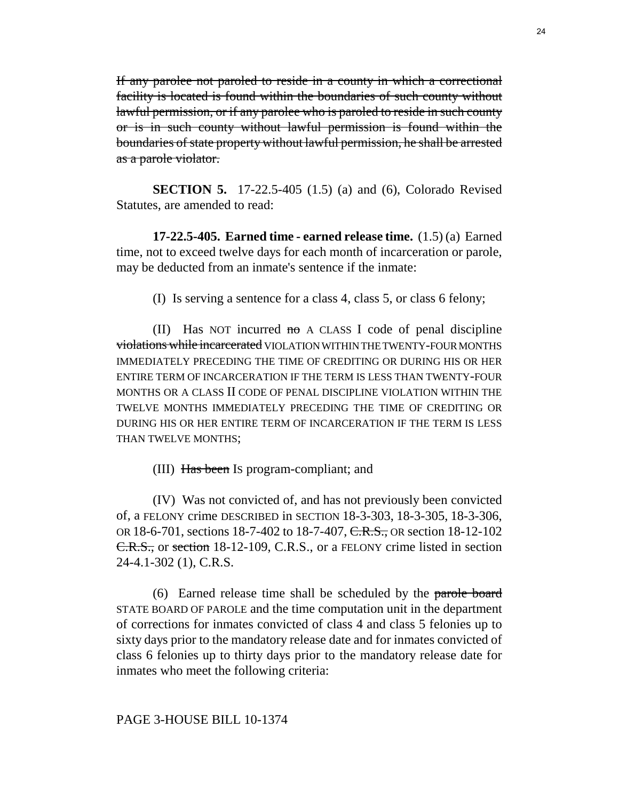If any parolee not paroled to reside in a county in which a correctional facility is located is found within the boundaries of such county without lawful permission, or if any parolee who is paroled to reside in such county or is in such county without lawful permission is found within the boundaries of state property without lawful permission, he shall be arrested as a parole violator.

**SECTION 5.** 17-22.5-405 (1.5) (a) and (6), Colorado Revised Statutes, are amended to read:

**17-22.5-405. Earned time - earned release time.** (1.5) (a) Earned time, not to exceed twelve days for each month of incarceration or parole, may be deducted from an inmate's sentence if the inmate:

(I) Is serving a sentence for a class 4, class 5, or class 6 felony;

(II) Has NOT incurred  $m\sigma$  A CLASS I code of penal discipline violations while incarcerated VIOLATION WITHIN THE TWENTY-FOUR MONTHS IMMEDIATELY PRECEDING THE TIME OF CREDITING OR DURING HIS OR HER ENTIRE TERM OF INCARCERATION IF THE TERM IS LESS THAN TWENTY-FOUR MONTHS OR A CLASS II CODE OF PENAL DISCIPLINE VIOLATION WITHIN THE TWELVE MONTHS IMMEDIATELY PRECEDING THE TIME OF CREDITING OR DURING HIS OR HER ENTIRE TERM OF INCARCERATION IF THE TERM IS LESS THAN TWELVE MONTHS;

(III) Has been IS program-compliant; and

(IV) Was not convicted of, and has not previously been convicted of, a FELONY crime DESCRIBED in SECTION 18-3-303, 18-3-305, 18-3-306, OR 18-6-701, sections 18-7-402 to 18-7-407, C.R.S., OR section 18-12-102 C.R.S., or section 18-12-109, C.R.S., or a FELONY crime listed in section 24-4.1-302 (1), C.R.S.

(6) Earned release time shall be scheduled by the parole board STATE BOARD OF PAROLE and the time computation unit in the department of corrections for inmates convicted of class 4 and class 5 felonies up to sixty days prior to the mandatory release date and for inmates convicted of class 6 felonies up to thirty days prior to the mandatory release date for inmates who meet the following criteria:

## PAGE 3-HOUSE BILL 10-1374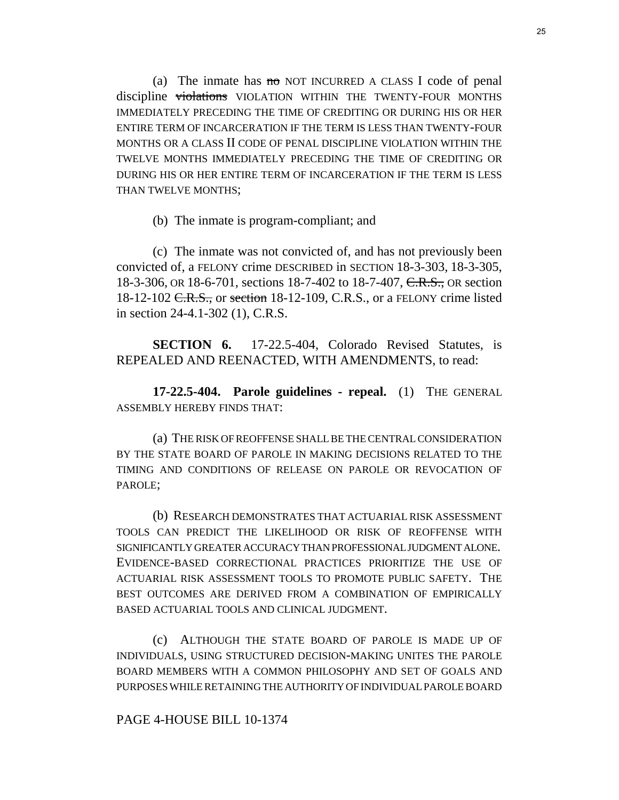(a) The inmate has no NOT INCURRED A CLASS I code of penal discipline violations VIOLATION WITHIN THE TWENTY-FOUR MONTHS IMMEDIATELY PRECEDING THE TIME OF CREDITING OR DURING HIS OR HER ENTIRE TERM OF INCARCERATION IF THE TERM IS LESS THAN TWENTY-FOUR MONTHS OR A CLASS II CODE OF PENAL DISCIPLINE VIOLATION WITHIN THE TWELVE MONTHS IMMEDIATELY PRECEDING THE TIME OF CREDITING OR DURING HIS OR HER ENTIRE TERM OF INCARCERATION IF THE TERM IS LESS THAN TWELVE MONTHS;

(b) The inmate is program-compliant; and

(c) The inmate was not convicted of, and has not previously been convicted of, a FELONY crime DESCRIBED in SECTION 18-3-303, 18-3-305, 18-3-306, OR 18-6-701, sections 18-7-402 to 18-7-407, C.R.S., OR section 18-12-102 <del>C.R.S.,</del> or section 18-12-109, C.R.S., or a FELONY crime listed in section 24-4.1-302 (1), C.R.S.

**SECTION 6.** 17-22.5-404, Colorado Revised Statutes, is REPEALED AND REENACTED, WITH AMENDMENTS, to read:

**17-22.5-404. Parole guidelines - repeal.** (1) THE GENERAL ASSEMBLY HEREBY FINDS THAT:

(a) THE RISK OF REOFFENSE SHALL BE THE CENTRAL CONSIDERATION BY THE STATE BOARD OF PAROLE IN MAKING DECISIONS RELATED TO THE TIMING AND CONDITIONS OF RELEASE ON PAROLE OR REVOCATION OF PAROLE;

(b) RESEARCH DEMONSTRATES THAT ACTUARIAL RISK ASSESSMENT TOOLS CAN PREDICT THE LIKELIHOOD OR RISK OF REOFFENSE WITH SIGNIFICANTLY GREATER ACCURACY THAN PROFESSIONAL JUDGMENT ALONE. EVIDENCE-BASED CORRECTIONAL PRACTICES PRIORITIZE THE USE OF ACTUARIAL RISK ASSESSMENT TOOLS TO PROMOTE PUBLIC SAFETY. THE BEST OUTCOMES ARE DERIVED FROM A COMBINATION OF EMPIRICALLY BASED ACTUARIAL TOOLS AND CLINICAL JUDGMENT.

(c) ALTHOUGH THE STATE BOARD OF PAROLE IS MADE UP OF INDIVIDUALS, USING STRUCTURED DECISION-MAKING UNITES THE PAROLE BOARD MEMBERS WITH A COMMON PHILOSOPHY AND SET OF GOALS AND PURPOSES WHILE RETAINING THE AUTHORITY OF INDIVIDUAL PAROLE BOARD

## PAGE 4-HOUSE BILL 10-1374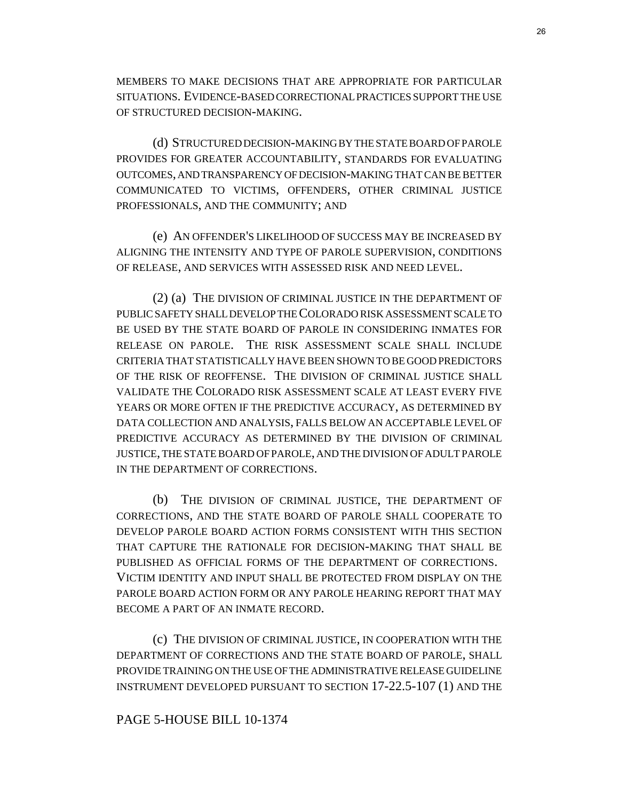MEMBERS TO MAKE DECISIONS THAT ARE APPROPRIATE FOR PARTICULAR SITUATIONS. EVIDENCE-BASED CORRECTIONAL PRACTICES SUPPORT THE USE OF STRUCTURED DECISION-MAKING.

(d) STRUCTURED DECISION-MAKING BY THE STATE BOARD OF PAROLE PROVIDES FOR GREATER ACCOUNTABILITY, STANDARDS FOR EVALUATING OUTCOMES, AND TRANSPARENCY OF DECISION-MAKING THAT CAN BE BETTER COMMUNICATED TO VICTIMS, OFFENDERS, OTHER CRIMINAL JUSTICE PROFESSIONALS, AND THE COMMUNITY; AND

(e) AN OFFENDER'S LIKELIHOOD OF SUCCESS MAY BE INCREASED BY ALIGNING THE INTENSITY AND TYPE OF PAROLE SUPERVISION, CONDITIONS OF RELEASE, AND SERVICES WITH ASSESSED RISK AND NEED LEVEL.

(2) (a) THE DIVISION OF CRIMINAL JUSTICE IN THE DEPARTMENT OF PUBLIC SAFETY SHALL DEVELOP THE COLORADO RISK ASSESSMENT SCALE TO BE USED BY THE STATE BOARD OF PAROLE IN CONSIDERING INMATES FOR RELEASE ON PAROLE. THE RISK ASSESSMENT SCALE SHALL INCLUDE CRITERIA THAT STATISTICALLY HAVE BEEN SHOWN TO BE GOOD PREDICTORS OF THE RISK OF REOFFENSE. THE DIVISION OF CRIMINAL JUSTICE SHALL VALIDATE THE COLORADO RISK ASSESSMENT SCALE AT LEAST EVERY FIVE YEARS OR MORE OFTEN IF THE PREDICTIVE ACCURACY, AS DETERMINED BY DATA COLLECTION AND ANALYSIS, FALLS BELOW AN ACCEPTABLE LEVEL OF PREDICTIVE ACCURACY AS DETERMINED BY THE DIVISION OF CRIMINAL JUSTICE, THE STATE BOARD OF PAROLE, AND THE DIVISION OF ADULT PAROLE IN THE DEPARTMENT OF CORRECTIONS.

(b) THE DIVISION OF CRIMINAL JUSTICE, THE DEPARTMENT OF CORRECTIONS, AND THE STATE BOARD OF PAROLE SHALL COOPERATE TO DEVELOP PAROLE BOARD ACTION FORMS CONSISTENT WITH THIS SECTION THAT CAPTURE THE RATIONALE FOR DECISION-MAKING THAT SHALL BE PUBLISHED AS OFFICIAL FORMS OF THE DEPARTMENT OF CORRECTIONS. VICTIM IDENTITY AND INPUT SHALL BE PROTECTED FROM DISPLAY ON THE PAROLE BOARD ACTION FORM OR ANY PAROLE HEARING REPORT THAT MAY BECOME A PART OF AN INMATE RECORD.

(c) THE DIVISION OF CRIMINAL JUSTICE, IN COOPERATION WITH THE DEPARTMENT OF CORRECTIONS AND THE STATE BOARD OF PAROLE, SHALL PROVIDE TRAINING ON THE USE OF THE ADMINISTRATIVE RELEASE GUIDELINE INSTRUMENT DEVELOPED PURSUANT TO SECTION 17-22.5-107 (1) AND THE

#### PAGE 5-HOUSE BILL 10-1374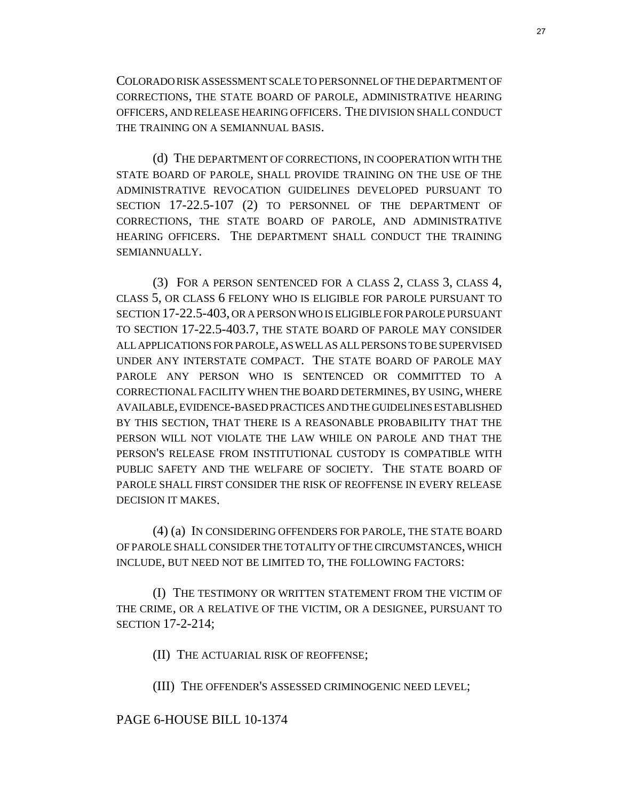COLORADO RISK ASSESSMENT SCALE TO PERSONNEL OF THE DEPARTMENT OF CORRECTIONS, THE STATE BOARD OF PAROLE, ADMINISTRATIVE HEARING OFFICERS, AND RELEASE HEARING OFFICERS. THE DIVISION SHALL CONDUCT THE TRAINING ON A SEMIANNUAL BASIS.

(d) THE DEPARTMENT OF CORRECTIONS, IN COOPERATION WITH THE STATE BOARD OF PAROLE, SHALL PROVIDE TRAINING ON THE USE OF THE ADMINISTRATIVE REVOCATION GUIDELINES DEVELOPED PURSUANT TO SECTION 17-22.5-107 (2) TO PERSONNEL OF THE DEPARTMENT OF CORRECTIONS, THE STATE BOARD OF PAROLE, AND ADMINISTRATIVE HEARING OFFICERS. THE DEPARTMENT SHALL CONDUCT THE TRAINING SEMIANNUALLY.

(3) FOR A PERSON SENTENCED FOR A CLASS 2, CLASS 3, CLASS 4, CLASS 5, OR CLASS 6 FELONY WHO IS ELIGIBLE FOR PAROLE PURSUANT TO SECTION 17-22.5-403, OR A PERSON WHO IS ELIGIBLE FOR PAROLE PURSUANT TO SECTION 17-22.5-403.7, THE STATE BOARD OF PAROLE MAY CONSIDER ALL APPLICATIONS FOR PAROLE, AS WELL AS ALL PERSONS TO BE SUPERVISED UNDER ANY INTERSTATE COMPACT. THE STATE BOARD OF PAROLE MAY PAROLE ANY PERSON WHO IS SENTENCED OR COMMITTED TO A CORRECTIONAL FACILITY WHEN THE BOARD DETERMINES, BY USING, WHERE AVAILABLE, EVIDENCE-BASED PRACTICES AND THE GUIDELINES ESTABLISHED BY THIS SECTION, THAT THERE IS A REASONABLE PROBABILITY THAT THE PERSON WILL NOT VIOLATE THE LAW WHILE ON PAROLE AND THAT THE PERSON'S RELEASE FROM INSTITUTIONAL CUSTODY IS COMPATIBLE WITH PUBLIC SAFETY AND THE WELFARE OF SOCIETY. THE STATE BOARD OF PAROLE SHALL FIRST CONSIDER THE RISK OF REOFFENSE IN EVERY RELEASE DECISION IT MAKES.

(4) (a) IN CONSIDERING OFFENDERS FOR PAROLE, THE STATE BOARD OF PAROLE SHALL CONSIDER THE TOTALITY OF THE CIRCUMSTANCES, WHICH INCLUDE, BUT NEED NOT BE LIMITED TO, THE FOLLOWING FACTORS:

(I) THE TESTIMONY OR WRITTEN STATEMENT FROM THE VICTIM OF THE CRIME, OR A RELATIVE OF THE VICTIM, OR A DESIGNEE, PURSUANT TO SECTION 17-2-214;

(II) THE ACTUARIAL RISK OF REOFFENSE;

(III) THE OFFENDER'S ASSESSED CRIMINOGENIC NEED LEVEL;

## PAGE 6-HOUSE BILL 10-1374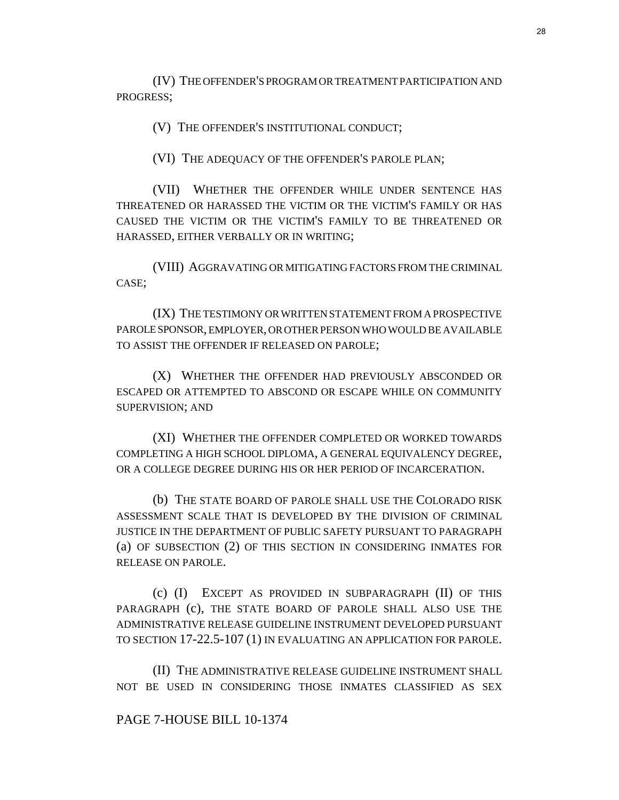(IV) THE OFFENDER'S PROGRAM OR TREATMENT PARTICIPATION AND PROGRESS;

(V) THE OFFENDER'S INSTITUTIONAL CONDUCT;

(VI) THE ADEQUACY OF THE OFFENDER'S PAROLE PLAN;

(VII) WHETHER THE OFFENDER WHILE UNDER SENTENCE HAS THREATENED OR HARASSED THE VICTIM OR THE VICTIM'S FAMILY OR HAS CAUSED THE VICTIM OR THE VICTIM'S FAMILY TO BE THREATENED OR HARASSED, EITHER VERBALLY OR IN WRITING;

(VIII) AGGRAVATING OR MITIGATING FACTORS FROM THE CRIMINAL CASE;

(IX) THE TESTIMONY OR WRITTEN STATEMENT FROM A PROSPECTIVE PAROLE SPONSOR, EMPLOYER, OR OTHER PERSON WHO WOULD BE AVAILABLE TO ASSIST THE OFFENDER IF RELEASED ON PAROLE;

(X) WHETHER THE OFFENDER HAD PREVIOUSLY ABSCONDED OR ESCAPED OR ATTEMPTED TO ABSCOND OR ESCAPE WHILE ON COMMUNITY SUPERVISION; AND

(XI) WHETHER THE OFFENDER COMPLETED OR WORKED TOWARDS COMPLETING A HIGH SCHOOL DIPLOMA, A GENERAL EQUIVALENCY DEGREE, OR A COLLEGE DEGREE DURING HIS OR HER PERIOD OF INCARCERATION.

(b) THE STATE BOARD OF PAROLE SHALL USE THE COLORADO RISK ASSESSMENT SCALE THAT IS DEVELOPED BY THE DIVISION OF CRIMINAL JUSTICE IN THE DEPARTMENT OF PUBLIC SAFETY PURSUANT TO PARAGRAPH (a) OF SUBSECTION (2) OF THIS SECTION IN CONSIDERING INMATES FOR RELEASE ON PAROLE.

(c) (I) EXCEPT AS PROVIDED IN SUBPARAGRAPH (II) OF THIS PARAGRAPH (c), THE STATE BOARD OF PAROLE SHALL ALSO USE THE ADMINISTRATIVE RELEASE GUIDELINE INSTRUMENT DEVELOPED PURSUANT TO SECTION 17-22.5-107 (1) IN EVALUATING AN APPLICATION FOR PAROLE.

(II) THE ADMINISTRATIVE RELEASE GUIDELINE INSTRUMENT SHALL NOT BE USED IN CONSIDERING THOSE INMATES CLASSIFIED AS SEX

## PAGE 7-HOUSE BILL 10-1374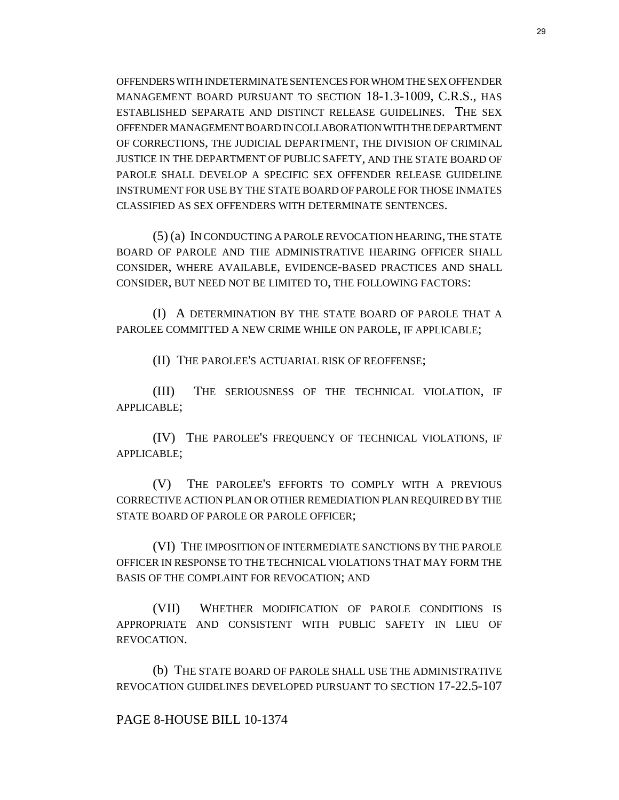OFFENDERS WITH INDETERMINATE SENTENCES FOR WHOM THE SEX OFFENDER MANAGEMENT BOARD PURSUANT TO SECTION 18-1.3-1009, C.R.S., HAS ESTABLISHED SEPARATE AND DISTINCT RELEASE GUIDELINES. THE SEX OFFENDER MANAGEMENT BOARD IN COLLABORATION WITH THE DEPARTMENT OF CORRECTIONS, THE JUDICIAL DEPARTMENT, THE DIVISION OF CRIMINAL JUSTICE IN THE DEPARTMENT OF PUBLIC SAFETY, AND THE STATE BOARD OF PAROLE SHALL DEVELOP A SPECIFIC SEX OFFENDER RELEASE GUIDELINE INSTRUMENT FOR USE BY THE STATE BOARD OF PAROLE FOR THOSE INMATES CLASSIFIED AS SEX OFFENDERS WITH DETERMINATE SENTENCES.

(5) (a) IN CONDUCTING A PAROLE REVOCATION HEARING, THE STATE BOARD OF PAROLE AND THE ADMINISTRATIVE HEARING OFFICER SHALL CONSIDER, WHERE AVAILABLE, EVIDENCE-BASED PRACTICES AND SHALL CONSIDER, BUT NEED NOT BE LIMITED TO, THE FOLLOWING FACTORS:

(I) A DETERMINATION BY THE STATE BOARD OF PAROLE THAT A PAROLEE COMMITTED A NEW CRIME WHILE ON PAROLE, IF APPLICABLE;

(II) THE PAROLEE'S ACTUARIAL RISK OF REOFFENSE;

(III) THE SERIOUSNESS OF THE TECHNICAL VIOLATION, IF APPLICABLE;

(IV) THE PAROLEE'S FREQUENCY OF TECHNICAL VIOLATIONS, IF APPLICABLE;

(V) THE PAROLEE'S EFFORTS TO COMPLY WITH A PREVIOUS CORRECTIVE ACTION PLAN OR OTHER REMEDIATION PLAN REQUIRED BY THE STATE BOARD OF PAROLE OR PAROLE OFFICER;

(VI) THE IMPOSITION OF INTERMEDIATE SANCTIONS BY THE PAROLE OFFICER IN RESPONSE TO THE TECHNICAL VIOLATIONS THAT MAY FORM THE BASIS OF THE COMPLAINT FOR REVOCATION; AND

(VII) WHETHER MODIFICATION OF PAROLE CONDITIONS IS APPROPRIATE AND CONSISTENT WITH PUBLIC SAFETY IN LIEU OF REVOCATION.

(b) THE STATE BOARD OF PAROLE SHALL USE THE ADMINISTRATIVE REVOCATION GUIDELINES DEVELOPED PURSUANT TO SECTION 17-22.5-107

#### PAGE 8-HOUSE BILL 10-1374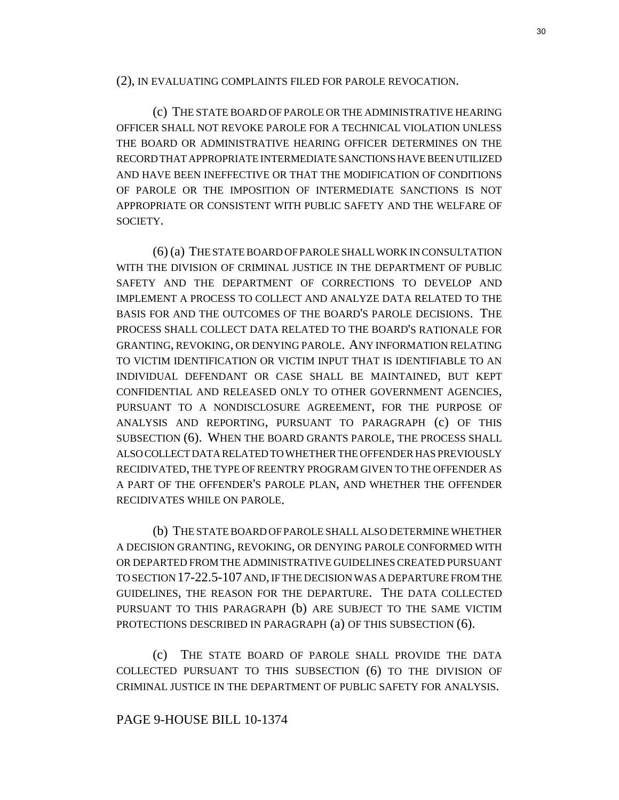(2), IN EVALUATING COMPLAINTS FILED FOR PAROLE REVOCATION.

(c) THE STATE BOARD OF PAROLE OR THE ADMINISTRATIVE HEARING OFFICER SHALL NOT REVOKE PAROLE FOR A TECHNICAL VIOLATION UNLESS THE BOARD OR ADMINISTRATIVE HEARING OFFICER DETERMINES ON THE RECORD THAT APPROPRIATE INTERMEDIATE SANCTIONS HAVE BEEN UTILIZED AND HAVE BEEN INEFFECTIVE OR THAT THE MODIFICATION OF CONDITIONS OF PAROLE OR THE IMPOSITION OF INTERMEDIATE SANCTIONS IS NOT APPROPRIATE OR CONSISTENT WITH PUBLIC SAFETY AND THE WELFARE OF SOCIETY.

(6) (a) THE STATE BOARD OF PAROLE SHALL WORK IN CONSULTATION WITH THE DIVISION OF CRIMINAL JUSTICE IN THE DEPARTMENT OF PUBLIC SAFETY AND THE DEPARTMENT OF CORRECTIONS TO DEVELOP AND IMPLEMENT A PROCESS TO COLLECT AND ANALYZE DATA RELATED TO THE BASIS FOR AND THE OUTCOMES OF THE BOARD'S PAROLE DECISIONS. THE PROCESS SHALL COLLECT DATA RELATED TO THE BOARD'S RATIONALE FOR GRANTING, REVOKING, OR DENYING PAROLE. ANY INFORMATION RELATING TO VICTIM IDENTIFICATION OR VICTIM INPUT THAT IS IDENTIFIABLE TO AN INDIVIDUAL DEFENDANT OR CASE SHALL BE MAINTAINED, BUT KEPT CONFIDENTIAL AND RELEASED ONLY TO OTHER GOVERNMENT AGENCIES, PURSUANT TO A NONDISCLOSURE AGREEMENT, FOR THE PURPOSE OF ANALYSIS AND REPORTING, PURSUANT TO PARAGRAPH (c) OF THIS SUBSECTION (6). WHEN THE BOARD GRANTS PAROLE, THE PROCESS SHALL ALSO COLLECT DATA RELATED TO WHETHER THE OFFENDER HAS PREVIOUSLY RECIDIVATED, THE TYPE OF REENTRY PROGRAM GIVEN TO THE OFFENDER AS A PART OF THE OFFENDER'S PAROLE PLAN, AND WHETHER THE OFFENDER RECIDIVATES WHILE ON PAROLE.

(b) THE STATE BOARD OF PAROLE SHALL ALSO DETERMINE WHETHER A DECISION GRANTING, REVOKING, OR DENYING PAROLE CONFORMED WITH OR DEPARTED FROM THE ADMINISTRATIVE GUIDELINES CREATED PURSUANT TO SECTION 17-22.5-107 AND, IF THE DECISION WAS A DEPARTURE FROM THE GUIDELINES, THE REASON FOR THE DEPARTURE. THE DATA COLLECTED PURSUANT TO THIS PARAGRAPH (b) ARE SUBJECT TO THE SAME VICTIM PROTECTIONS DESCRIBED IN PARAGRAPH (a) OF THIS SUBSECTION (6).

(c) THE STATE BOARD OF PAROLE SHALL PROVIDE THE DATA COLLECTED PURSUANT TO THIS SUBSECTION (6) TO THE DIVISION OF CRIMINAL JUSTICE IN THE DEPARTMENT OF PUBLIC SAFETY FOR ANALYSIS.

## PAGE 9-HOUSE BILL 10-1374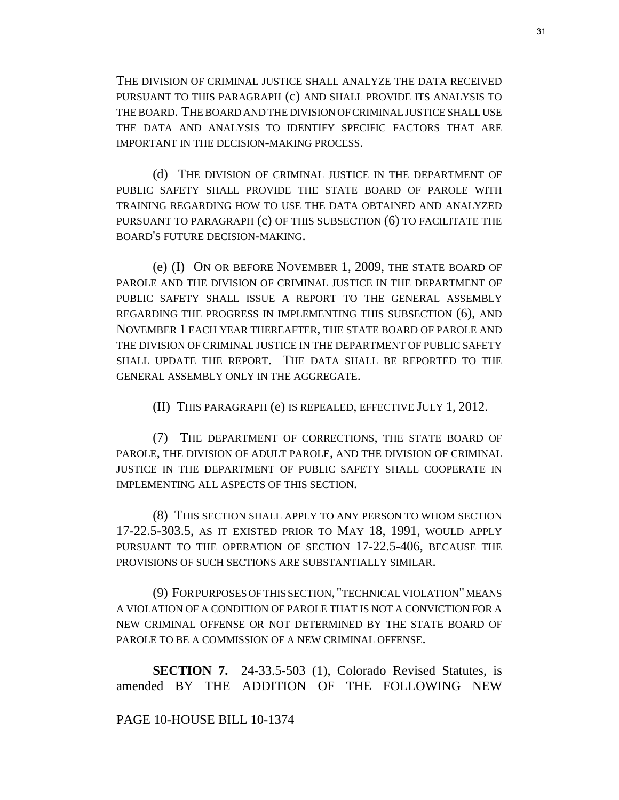THE DIVISION OF CRIMINAL JUSTICE SHALL ANALYZE THE DATA RECEIVED PURSUANT TO THIS PARAGRAPH (c) AND SHALL PROVIDE ITS ANALYSIS TO THE BOARD. THE BOARD AND THE DIVISION OF CRIMINAL JUSTICE SHALL USE THE DATA AND ANALYSIS TO IDENTIFY SPECIFIC FACTORS THAT ARE IMPORTANT IN THE DECISION-MAKING PROCESS.

(d) THE DIVISION OF CRIMINAL JUSTICE IN THE DEPARTMENT OF PUBLIC SAFETY SHALL PROVIDE THE STATE BOARD OF PAROLE WITH TRAINING REGARDING HOW TO USE THE DATA OBTAINED AND ANALYZED PURSUANT TO PARAGRAPH (c) OF THIS SUBSECTION (6) TO FACILITATE THE BOARD'S FUTURE DECISION-MAKING.

(e) (I) ON OR BEFORE NOVEMBER 1, 2009, THE STATE BOARD OF PAROLE AND THE DIVISION OF CRIMINAL JUSTICE IN THE DEPARTMENT OF PUBLIC SAFETY SHALL ISSUE A REPORT TO THE GENERAL ASSEMBLY REGARDING THE PROGRESS IN IMPLEMENTING THIS SUBSECTION (6), AND NOVEMBER 1 EACH YEAR THEREAFTER, THE STATE BOARD OF PAROLE AND THE DIVISION OF CRIMINAL JUSTICE IN THE DEPARTMENT OF PUBLIC SAFETY SHALL UPDATE THE REPORT. THE DATA SHALL BE REPORTED TO THE GENERAL ASSEMBLY ONLY IN THE AGGREGATE.

(II) THIS PARAGRAPH (e) IS REPEALED, EFFECTIVE JULY 1, 2012.

(7) THE DEPARTMENT OF CORRECTIONS, THE STATE BOARD OF PAROLE, THE DIVISION OF ADULT PAROLE, AND THE DIVISION OF CRIMINAL JUSTICE IN THE DEPARTMENT OF PUBLIC SAFETY SHALL COOPERATE IN IMPLEMENTING ALL ASPECTS OF THIS SECTION.

(8) THIS SECTION SHALL APPLY TO ANY PERSON TO WHOM SECTION 17-22.5-303.5, AS IT EXISTED PRIOR TO MAY 18, 1991, WOULD APPLY PURSUANT TO THE OPERATION OF SECTION 17-22.5-406, BECAUSE THE PROVISIONS OF SUCH SECTIONS ARE SUBSTANTIALLY SIMILAR.

(9) FOR PURPOSES OF THIS SECTION, "TECHNICAL VIOLATION" MEANS A VIOLATION OF A CONDITION OF PAROLE THAT IS NOT A CONVICTION FOR A NEW CRIMINAL OFFENSE OR NOT DETERMINED BY THE STATE BOARD OF PAROLE TO BE A COMMISSION OF A NEW CRIMINAL OFFENSE.

**SECTION 7.** 24-33.5-503 (1), Colorado Revised Statutes, is amended BY THE ADDITION OF THE FOLLOWING NEW

## PAGE 10-HOUSE BILL 10-1374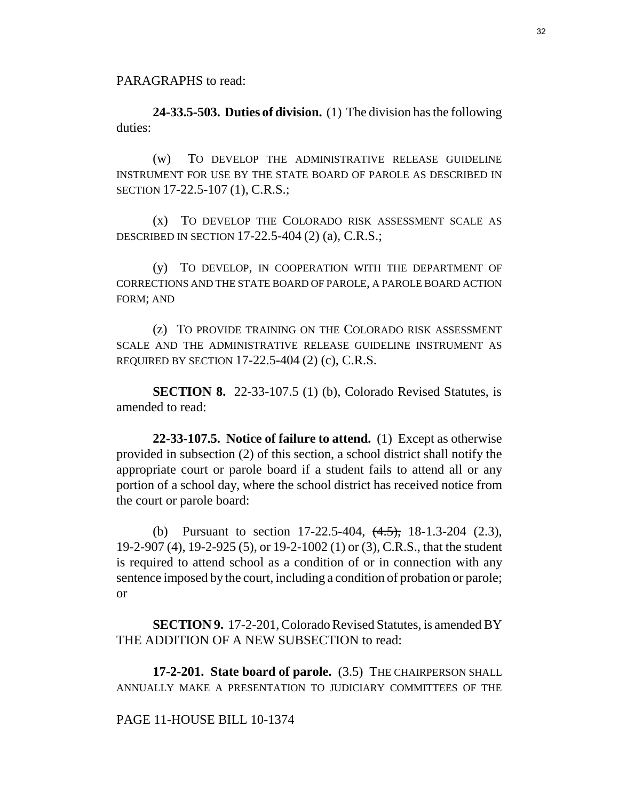PARAGRAPHS to read:

**24-33.5-503. Duties of division.** (1) The division has the following duties:

(w) TO DEVELOP THE ADMINISTRATIVE RELEASE GUIDELINE INSTRUMENT FOR USE BY THE STATE BOARD OF PAROLE AS DESCRIBED IN SECTION 17-22.5-107 (1), C.R.S.;

(x) TO DEVELOP THE COLORADO RISK ASSESSMENT SCALE AS DESCRIBED IN SECTION 17-22.5-404 (2) (a), C.R.S.;

(y) TO DEVELOP, IN COOPERATION WITH THE DEPARTMENT OF CORRECTIONS AND THE STATE BOARD OF PAROLE, A PAROLE BOARD ACTION FORM; AND

(z) TO PROVIDE TRAINING ON THE COLORADO RISK ASSESSMENT SCALE AND THE ADMINISTRATIVE RELEASE GUIDELINE INSTRUMENT AS REQUIRED BY SECTION 17-22.5-404 (2) (c), C.R.S.

**SECTION 8.** 22-33-107.5 (1) (b), Colorado Revised Statutes, is amended to read:

**22-33-107.5. Notice of failure to attend.** (1) Except as otherwise provided in subsection (2) of this section, a school district shall notify the appropriate court or parole board if a student fails to attend all or any portion of a school day, where the school district has received notice from the court or parole board:

(b) Pursuant to section  $17-22.5-404$ ,  $(4.5)$ ,  $18-1.3-204$  (2.3), 19-2-907 (4), 19-2-925 (5), or 19-2-1002 (1) or (3), C.R.S., that the student is required to attend school as a condition of or in connection with any sentence imposed by the court, including a condition of probation or parole; or

**SECTION 9.** 17-2-201, Colorado Revised Statutes, is amended BY THE ADDITION OF A NEW SUBSECTION to read:

**17-2-201. State board of parole.** (3.5) THE CHAIRPERSON SHALL ANNUALLY MAKE A PRESENTATION TO JUDICIARY COMMITTEES OF THE

## PAGE 11-HOUSE BILL 10-1374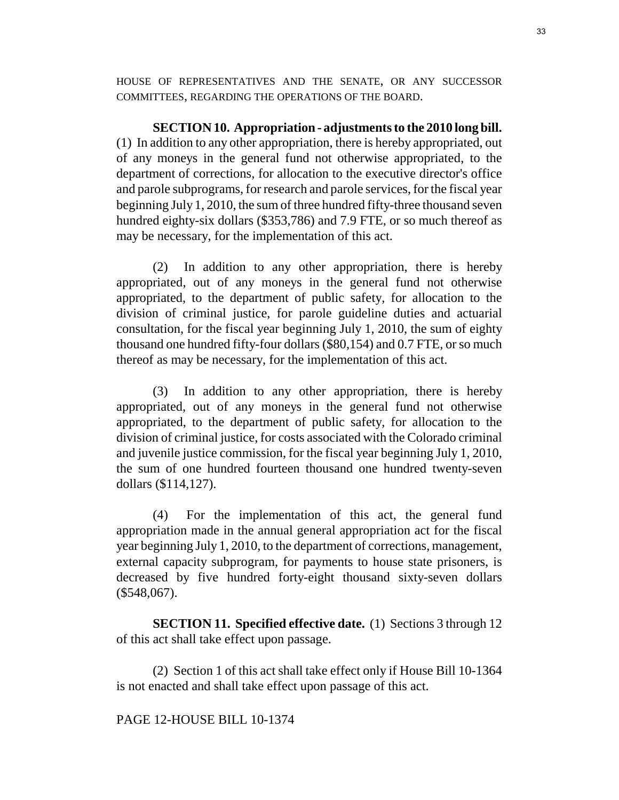HOUSE OF REPRESENTATIVES AND THE SENATE, OR ANY SUCCESSOR COMMITTEES, REGARDING THE OPERATIONS OF THE BOARD.

**SECTION 10. Appropriation - adjustments to the 2010 long bill.** (1) In addition to any other appropriation, there is hereby appropriated, out of any moneys in the general fund not otherwise appropriated, to the department of corrections, for allocation to the executive director's office and parole subprograms, for research and parole services, for the fiscal year beginning July 1, 2010, the sum of three hundred fifty-three thousand seven hundred eighty-six dollars (\$353,786) and 7.9 FTE, or so much thereof as may be necessary, for the implementation of this act.

(2) In addition to any other appropriation, there is hereby appropriated, out of any moneys in the general fund not otherwise appropriated, to the department of public safety, for allocation to the division of criminal justice, for parole guideline duties and actuarial consultation, for the fiscal year beginning July 1, 2010, the sum of eighty thousand one hundred fifty-four dollars (\$80,154) and 0.7 FTE, or so much thereof as may be necessary, for the implementation of this act.

(3) In addition to any other appropriation, there is hereby appropriated, out of any moneys in the general fund not otherwise appropriated, to the department of public safety, for allocation to the division of criminal justice, for costs associated with the Colorado criminal and juvenile justice commission, for the fiscal year beginning July 1, 2010, the sum of one hundred fourteen thousand one hundred twenty-seven dollars (\$114,127).

(4) For the implementation of this act, the general fund appropriation made in the annual general appropriation act for the fiscal year beginning July 1, 2010, to the department of corrections, management, external capacity subprogram, for payments to house state prisoners, is decreased by five hundred forty-eight thousand sixty-seven dollars  $($548,067)$ .

**SECTION 11. Specified effective date.** (1) Sections 3 through 12 of this act shall take effect upon passage.

(2) Section 1 of this act shall take effect only if House Bill 10-1364 is not enacted and shall take effect upon passage of this act.

## PAGE 12-HOUSE BILL 10-1374